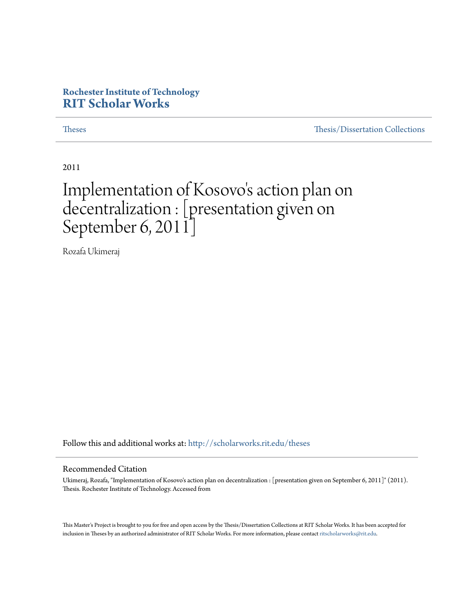# **Rochester Institute of Technology [RIT Scholar Works](http://scholarworks.rit.edu?utm_source=scholarworks.rit.edu%2Ftheses%2F7033&utm_medium=PDF&utm_campaign=PDFCoverPages)**

[Theses](http://scholarworks.rit.edu/theses?utm_source=scholarworks.rit.edu%2Ftheses%2F7033&utm_medium=PDF&utm_campaign=PDFCoverPages) [Thesis/Dissertation Collections](http://scholarworks.rit.edu/etd_collections?utm_source=scholarworks.rit.edu%2Ftheses%2F7033&utm_medium=PDF&utm_campaign=PDFCoverPages)

2011

# Implementation of Kosovo ' s action plan on decentralization : [presentation given on September 6, 2011]

Rozafa Ukimeraj

Follow this and additional works at: [http://scholarworks.rit.edu/theses](http://scholarworks.rit.edu/theses?utm_source=scholarworks.rit.edu%2Ftheses%2F7033&utm_medium=PDF&utm_campaign=PDFCoverPages)

#### Recommended Citation

Ukimeraj, Rozafa, "Implementation of Kosovo's action plan on decentralization : [presentation given on September 6, 2011]" (2011). Thesis. Rochester Institute of Technology. Accessed from

This Master's Project is brought to you for free and open access by the Thesis/Dissertation Collections at RIT Scholar Works. It has been accepted for inclusion in Theses by an authorized administrator of RIT Scholar Works. For more information, please contact [ritscholarworks@rit.edu](mailto:ritscholarworks@rit.edu).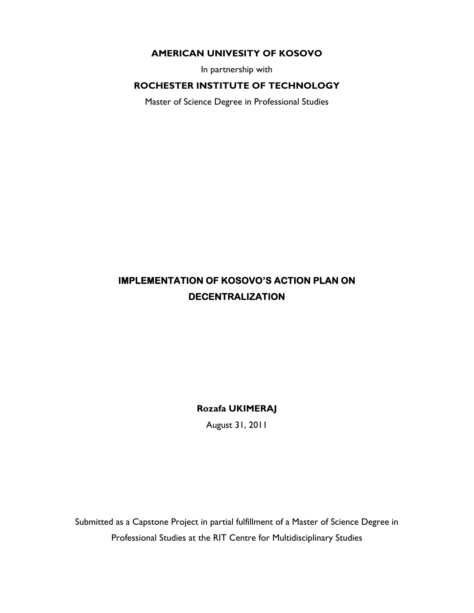# **AMERICAN UNIVESITY OF KOSOVO**

In partnership with

# **ROCHESTER INSTITUTE OF TECHNOLOGY**

Master of Science Degree in Professional Studies

# **IMPLEMENTATION OF KOSOVO'S ACTION PLAN ON DECENTRALIZATION**

**Rozafa UKIMERAJ** 

August 31, 2011

Submitted as a Capstone Project in partial fulfillment of a Master of Science Degree in Professional Studies at the RIT Centre for Multidisciplinary Studies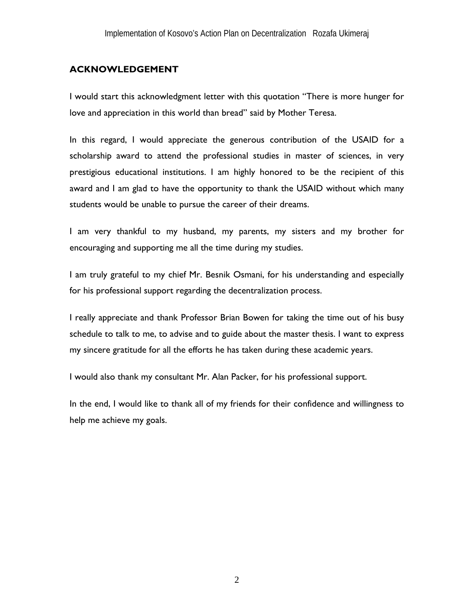# **ACKNOWLEDGEMENT**

I would start this acknowledgment letter with this quotation "There is more hunger for love and appreciation in this world than bread" said by Mother Teresa.

In this regard, I would appreciate the generous contribution of the USAID for a scholarship award to attend the professional studies in master of sciences, in very prestigious educational institutions. I am highly honored to be the recipient of this award and I am glad to have the opportunity to thank the USAID without which many students would be unable to pursue the career of their dreams.

I am very thankful to my husband, my parents, my sisters and my brother for encouraging and supporting me all the time during my studies.

I am truly grateful to my chief Mr. Besnik Osmani, for his understanding and especially for his professional support regarding the decentralization process.

I really appreciate and thank Professor Brian Bowen for taking the time out of his busy schedule to talk to me, to advise and to guide about the master thesis. I want to express my sincere gratitude for all the efforts he has taken during these academic years.

I would also thank my consultant Mr. Alan Packer, for his professional support.

In the end, I would like to thank all of my friends for their confidence and willingness to help me achieve my goals.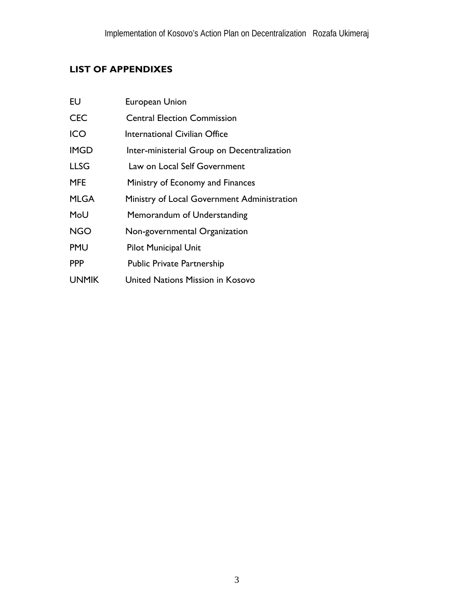# **LIST OF APPENDIXES**

| EU           | <b>European Union</b>                       |
|--------------|---------------------------------------------|
| <b>CEC</b>   | <b>Central Election Commission</b>          |
| ICO          | International Civilian Office               |
| <b>IMGD</b>  | Inter-ministerial Group on Decentralization |
| <b>LLSG</b>  | Law on Local Self Government                |
| <b>MFE</b>   | Ministry of Economy and Finances            |
| <b>MLGA</b>  | Ministry of Local Government Administration |
| MoU          | Memorandum of Understanding                 |
| <b>NGO</b>   | Non-governmental Organization               |
| <b>PMU</b>   | Pilot Municipal Unit                        |
| <b>PPP</b>   | <b>Public Private Partnership</b>           |
| <b>UNMIK</b> | United Nations Mission in Kosovo            |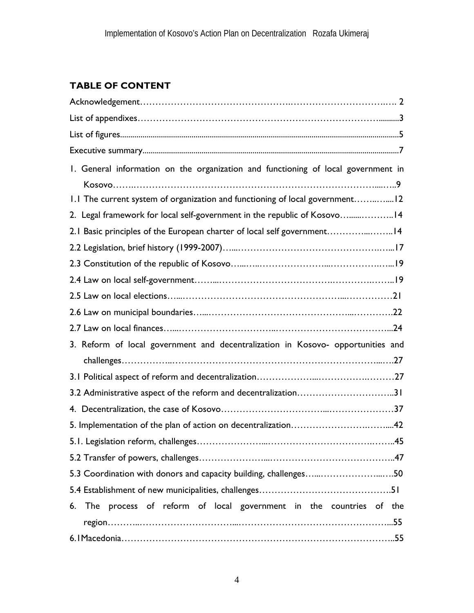# **TABLE OF CONTENT**

| 1. General information on the organization and functioning of local government in |
|-----------------------------------------------------------------------------------|
|                                                                                   |
| 1.1 The current system of organization and functioning of local government12      |
| 2. Legal framework for local self-government in the republic of Kosovo14          |
| 2.1 Basic principles of the European charter of local self government14           |
|                                                                                   |
|                                                                                   |
|                                                                                   |
|                                                                                   |
|                                                                                   |
|                                                                                   |
|                                                                                   |
| 3. Reform of local government and decentralization in Kosovo- opportunities and   |
|                                                                                   |
|                                                                                   |
| 3.2 Administrative aspect of the reform and decentralization31                    |
|                                                                                   |
|                                                                                   |
|                                                                                   |
|                                                                                   |
| 5.3 Coordination with donors and capacity building, challenges50                  |
|                                                                                   |
| 6. The process of reform of local government in the countries of the              |
|                                                                                   |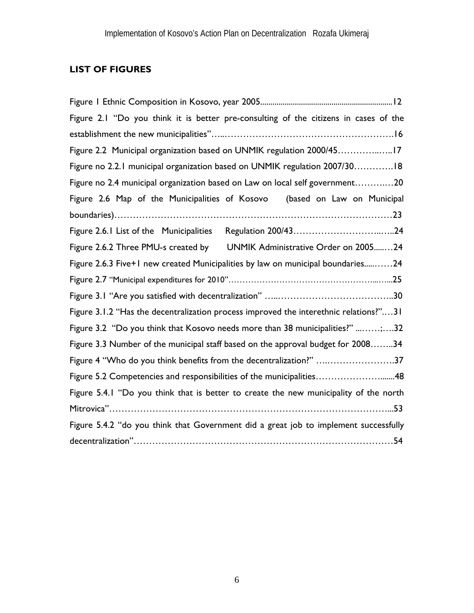# **LIST OF FIGURES**

| Figure 2.1 "Do you think it is better pre-consulting of the citizens in cases of the  |  |  |  |  |
|---------------------------------------------------------------------------------------|--|--|--|--|
|                                                                                       |  |  |  |  |
| Figure 2.2 Municipal organization based on UNMIK regulation 2000/4517                 |  |  |  |  |
| Figure no 2.2.1 municipal organization based on UNMIK regulation 2007/3018            |  |  |  |  |
| Figure no 2.4 municipal organization based on Law on local self government20          |  |  |  |  |
| Figure 2.6 Map of the Municipalities of Kosovo (based on Law on Municipal             |  |  |  |  |
|                                                                                       |  |  |  |  |
|                                                                                       |  |  |  |  |
| Figure 2.6.2 Three PMU-s created by UNMIK Administrative Order on 200524              |  |  |  |  |
| Figure 2.6.3 Five+1 new created Municipalities by law on municipal boundaries24       |  |  |  |  |
|                                                                                       |  |  |  |  |
|                                                                                       |  |  |  |  |
| Figure 3.1.2 "Has the decentralization process improved the interethnic relations?"31 |  |  |  |  |
| Figure 3.2 "Do you think that Kosovo needs more than 38 municipalities?" ;32          |  |  |  |  |
| Figure 3.3 Number of the municipal staff based on the approval budget for 200834      |  |  |  |  |
| Figure 4 "Who do you think benefits from the decentralization?" 37                    |  |  |  |  |
| Figure 5.2 Competencies and responsibilities of the municipalities48                  |  |  |  |  |
| Figure 5.4.1 "Do you think that is better to create the new municipality of the north |  |  |  |  |
|                                                                                       |  |  |  |  |
| Figure 5.4.2 "do you think that Government did a great job to implement successfully  |  |  |  |  |
|                                                                                       |  |  |  |  |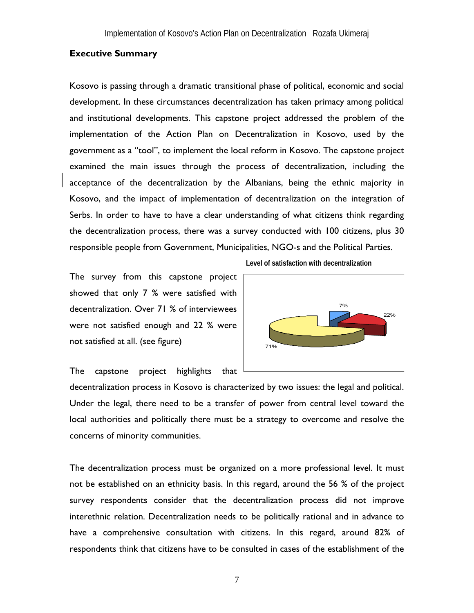### **Executive Summary**

Kosovo is passing through a dramatic transitional phase of political, economic and social development. In these circumstances decentralization has taken primacy among political and institutional developments. This capstone project addressed the problem of the implementation of the Action Plan on Decentralization in Kosovo, used by the government as a "tool", to implement the local reform in Kosovo. The capstone project examined the main issues through the process of decentralization, including the acceptance of the decentralization by the Albanians, being the ethnic majority in Kosovo, and the impact of implementation of decentralization on the integration of Serbs. In order to have to have a clear understanding of what citizens think regarding the decentralization process, there was a survey conducted with 100 citizens, plus 30 responsible people from Government, Municipalities, NGO-s and the Political Parties.

The survey from this capstone project showed that only 7 % were satisfied with decentralization. Over 71 % of interviewees were not satisfied enough and 22 % were not satisfied at all. (see figure)





The capstone project highlights that

decentralization process in Kosovo is characterized by two issues: the legal and political. Under the legal, there need to be a transfer of power from central level toward the local authorities and politically there must be a strategy to overcome and resolve the concerns of minority communities.

The decentralization process must be organized on a more professional level. It must not be established on an ethnicity basis. In this regard, around the 56 % of the project survey respondents consider that the decentralization process did not improve interethnic relation. Decentralization needs to be politically rational and in advance to have a comprehensive consultation with citizens. In this regard, around 82% of respondents think that citizens have to be consulted in cases of the establishment of the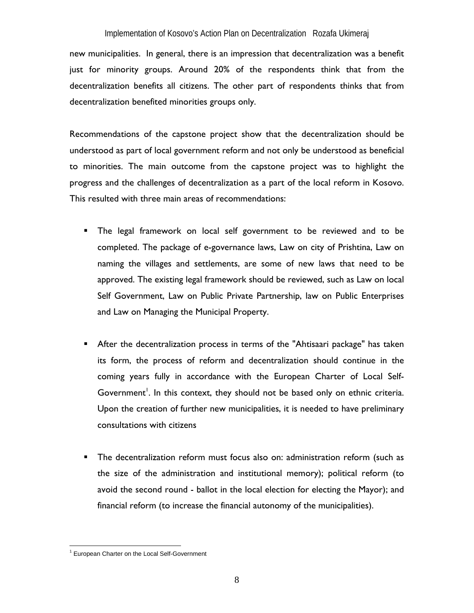new municipalities. In general, there is an impression that decentralization was a benefit just for minority groups. Around 20% of the respondents think that from the decentralization benefits all citizens. The other part of respondents thinks that from decentralization benefited minorities groups only.

Recommendations of the capstone project show that the decentralization should be understood as part of local government reform and not only be understood as beneficial to minorities. The main outcome from the capstone project was to highlight the progress and the challenges of decentralization as a part of the local reform in Kosovo. This resulted with three main areas of recommendations:

- The legal framework on local self government to be reviewed and to be completed. The package of e-governance laws, Law on city of Prishtina, Law on naming the villages and settlements, are some of new laws that need to be approved. The existing legal framework should be reviewed, such as Law on local Self Government, Law on Public Private Partnership, law on Public Enterprises and Law on Managing the Municipal Property.
- **After the decentralization process in terms of the "Ahtisaari package" has taken** its form, the process of reform and decentralization should continue in the coming years fully in accordance with the European Charter of Local Self-Government<sup>1</sup>. In this context, they should not be based only on ethnic criteria. Upon the creation of further new municipalities, it is needed to have preliminary consultations with citizens
- **The decentralization reform must focus also on: administration reform (such as** the size of the administration and institutional memory); political reform (to avoid the second round - ballot in the local election for electing the Mayor); and financial reform (to increase the financial autonomy of the municipalities).

 $\overline{a}$ <sup>1</sup> European Charter on the Local Self-Government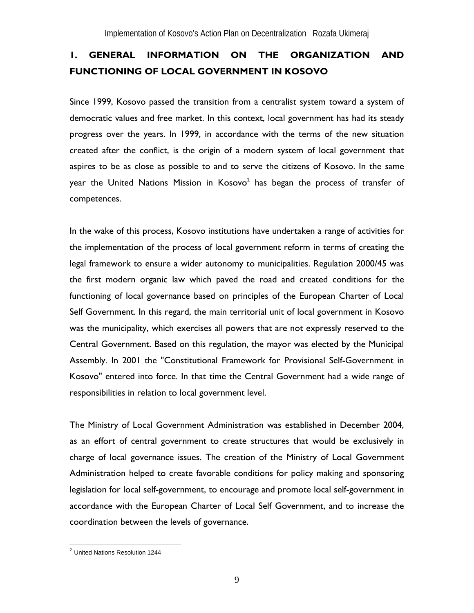# **1. GENERAL INFORMATION ON THE ORGANIZATION AND FUNCTIONING OF LOCAL GOVERNMENT IN KOSOVO**

Since 1999, Kosovo passed the transition from a centralist system toward a system of democratic values and free market. In this context, local government has had its steady progress over the years. In 1999, in accordance with the terms of the new situation created after the conflict, is the origin of a modern system of local government that aspires to be as close as possible to and to serve the citizens of Kosovo. In the same year the United Nations Mission in Kosovo $^2$  has began the process of transfer of competences.

In the wake of this process, Kosovo institutions have undertaken a range of activities for the implementation of the process of local government reform in terms of creating the legal framework to ensure a wider autonomy to municipalities. Regulation 2000/45 was the first modern organic law which paved the road and created conditions for the functioning of local governance based on principles of the European Charter of Local Self Government. In this regard, the main territorial unit of local government in Kosovo was the municipality, which exercises all powers that are not expressly reserved to the Central Government. Based on this regulation, the mayor was elected by the Municipal Assembly. In 2001 the "Constitutional Framework for Provisional Self-Government in Kosovo" entered into force. In that time the Central Government had a wide range of responsibilities in relation to local government level.

The Ministry of Local Government Administration was established in December 2004, as an effort of central government to create structures that would be exclusively in charge of local governance issues. The creation of the Ministry of Local Government Administration helped to create favorable conditions for policy making and sponsoring legislation for local self-government, to encourage and promote local self-government in accordance with the European Charter of Local Self Government, and to increase the coordination between the levels of governance.

<u>.</u>

<sup>&</sup>lt;sup>2</sup> United Nations Resolution 1244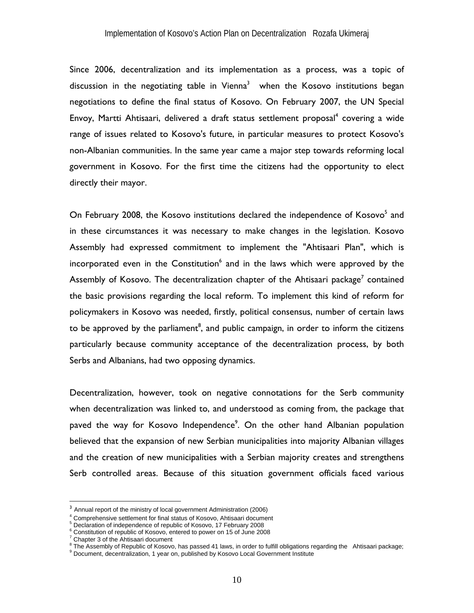Since 2006, decentralization and its implementation as a process, was a topic of discussion in the negotiating table in Vienna<sup>3</sup> when the Kosovo institutions began negotiations to define the final status of Kosovo. On February 2007, the UN Special Envoy, Martti Ahtisaari, delivered a draft status settlement proposal<sup>4</sup> covering a wide range of issues related to Kosovo's future, in particular measures to protect Kosovo's non-Albanian communities. In the same year came a major step towards reforming local government in Kosovo. For the first time the citizens had the opportunity to elect directly their mayor.

On February 2008, the Kosovo institutions declared the independence of Kosovo<sup>5</sup> and in these circumstances it was necessary to make changes in the legislation. Kosovo Assembly had expressed commitment to implement the "Ahtisaari Plan", which is incorporated even in the Constitution<sup>6</sup> and in the laws which were approved by the Assembly of Kosovo. The decentralization chapter of the Ahtisaari package<sup>7</sup> contained the basic provisions regarding the local reform. To implement this kind of reform for policymakers in Kosovo was needed, firstly, political consensus, number of certain laws to be approved by the parliament<sup>8</sup>, and public campaign, in order to inform the citizens particularly because community acceptance of the decentralization process, by both Serbs and Albanians, had two opposing dynamics.

Decentralization, however, took on negative connotations for the Serb community when decentralization was linked to, and understood as coming from, the package that paved the way for Kosovo Independence<sup>9</sup>. On the other hand Albanian population believed that the expansion of new Serbian municipalities into majority Albanian villages and the creation of new municipalities with a Serbian majority creates and strengthens Serb controlled areas. Because of this situation government officials faced various

 $\overline{a}$ 

<sup>&</sup>lt;sup>3</sup> Annual report of the ministry of local government Administration (2006)

<sup>&</sup>lt;sup>4</sup> Comprehensive settlement for final status of Kosovo. Ahtisaari document

<sup>&</sup>lt;sup>4</sup> Comprehensive settlement for final status of Kosovo, Ahtisaari document<br><sup>5</sup> Declaration of independence of republic of Kosovo, 17 February 2008

<sup>&</sup>lt;sup>6</sup> Constitution of republic of Kosovo, entered to power on 15 of June 2008

<sup>&</sup>lt;sup>7</sup> Chapter 3 of the Ahtisaari document

 $^8$  The Assembly of Republic of Kosovo, has passed 41 laws, in order to fulfill obligations regarding the Ahtisaari package;<br>9 Desiment descriptivation 4 vess on published by Kosovo Lesel Covernment Institute.

<sup>&</sup>lt;sup>9</sup> Document, decentralization, 1 year on, published by Kosovo Local Government Institute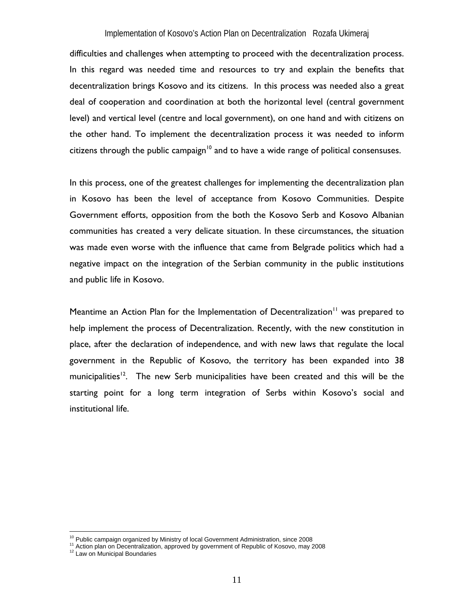difficulties and challenges when attempting to proceed with the decentralization process. In this regard was needed time and resources to try and explain the benefits that decentralization brings Kosovo and its citizens. In this process was needed also a great deal of cooperation and coordination at both the horizontal level (central government level) and vertical level (centre and local government), on one hand and with citizens on the other hand. To implement the decentralization process it was needed to inform citizens through the public campaign<sup>10</sup> and to have a wide range of political consensuses.

In this process, one of the greatest challenges for implementing the decentralization plan in Kosovo has been the level of acceptance from Kosovo Communities. Despite Government efforts, opposition from the both the Kosovo Serb and Kosovo Albanian communities has created a very delicate situation. In these circumstances, the situation was made even worse with the influence that came from Belgrade politics which had a negative impact on the integration of the Serbian community in the public institutions and public life in Kosovo.

Meantime an Action Plan for the Implementation of Decentralization<sup>11</sup> was prepared to help implement the process of Decentralization. Recently, with the new constitution in place, after the declaration of independence, and with new laws that regulate the local government in the Republic of Kosovo, the territory has been expanded into 38 municipalities<sup>12</sup>. The new Serb municipalities have been created and this will be the starting point for a long term integration of Serbs within Kosovo's social and institutional life.

<sup>&</sup>lt;sup>10</sup> Public campaign organized by Ministry of local Government Administration, since 2008

<sup>11</sup> Action plan on Decentralization, approved by government of Republic of Kosovo, may 2008 <sup>12</sup> Law on Municipal Boundaries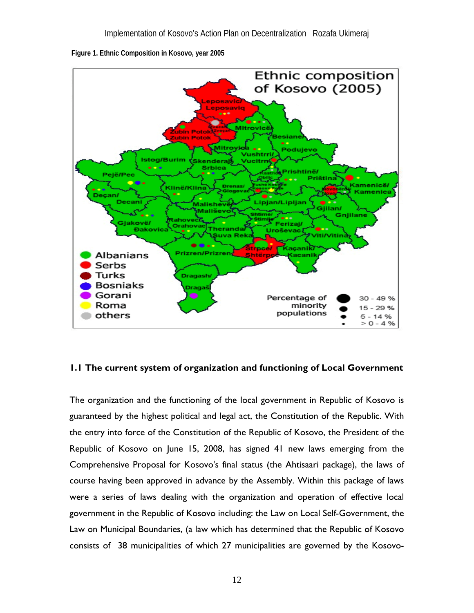

 **Figure 1. Ethnic Composition in Kosovo, year 2005** 

### **1.1 The current system of organization and functioning of Local Government**

The organization and the functioning of the local government in Republic of Kosovo is guaranteed by the highest political and legal act, the Constitution of the Republic. With the entry into force of the Constitution of the Republic of Kosovo, the President of the Republic of Kosovo on June 15, 2008, has signed 41 new laws emerging from the Comprehensive Proposal for Kosovo's final status (the Ahtisaari package), the laws of course having been approved in advance by the Assembly. Within this package of laws were a series of laws dealing with the organization and operation of effective local government in the Republic of Kosovo including: the Law on Local Self-Government, the Law on Municipal Boundaries, (a law which has determined that the Republic of Kosovo consists of 38 municipalities of which 27 municipalities are governed by the Kosovo-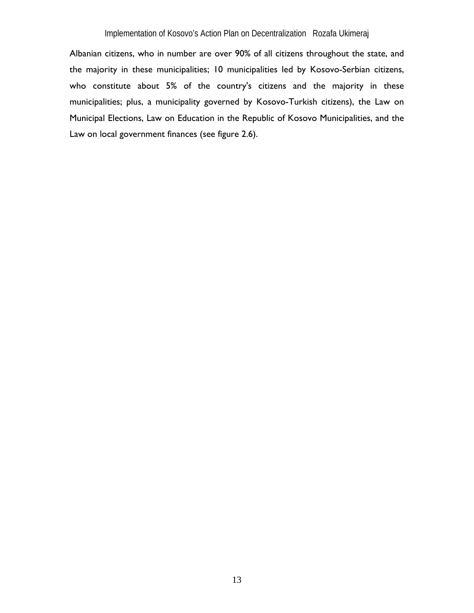Albanian citizens, who in number are over 90% of all citizens throughout the state, and the majority in these municipalities; 10 municipalities led by Kosovo-Serbian citizens, who constitute about 5% of the country's citizens and the majority in these municipalities; plus, a municipality governed by Kosovo-Turkish citizens), the Law on Municipal Elections, Law on Education in the Republic of Kosovo Municipalities, and the Law on local government finances (see figure 2.6).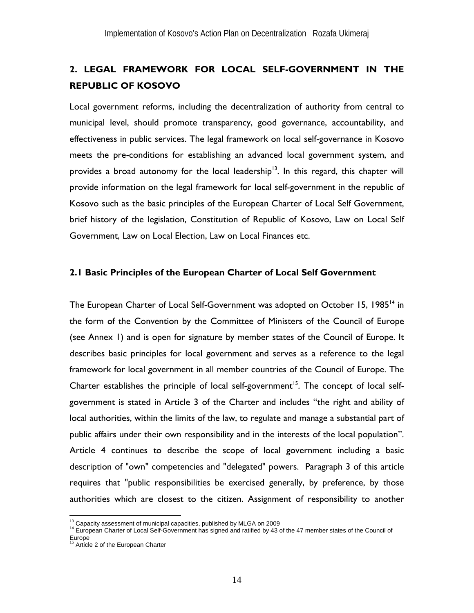# **2. LEGAL FRAMEWORK FOR LOCAL SELF-GOVERNMENT IN THE REPUBLIC OF KOSOVO**

Local government reforms, including the decentralization of authority from central to municipal level, should promote transparency, good governance, accountability, and effectiveness in public services. The legal framework on local self-governance in Kosovo meets the pre-conditions for establishing an advanced local government system, and provides a broad autonomy for the local leadership<sup>13</sup>. In this regard, this chapter will provide information on the legal framework for local self-government in the republic of Kosovo such as the basic principles of the European Charter of Local Self Government, brief history of the legislation, Constitution of Republic of Kosovo, Law on Local Self Government, Law on Local Election, Law on Local Finances etc.

### **2.1 Basic Principles of the European Charter of Local Self Government**

The European Charter of Local Self-Government was adopted on October 15, 1985<sup>14</sup> in the form of the Convention by the Committee of Ministers of the Council of Europe (see Annex 1) and is open for signature by member states of the Council of Europe. It describes basic principles for local government and serves as a reference to the legal framework for local government in all member countries of the Council of Europe. The Charter establishes the principle of local self-government<sup>15</sup>. The concept of local selfgovernment is stated in Article 3 of the Charter and includes "the right and ability of local authorities, within the limits of the law, to regulate and manage a substantial part of public affairs under their own responsibility and in the interests of the local population". Article 4 continues to describe the scope of local government including a basic description of "own" competencies and "delegated" powers. Paragraph 3 of this article requires that "public responsibilities be exercised generally, by preference, by those authorities which are closest to the citizen. Assignment of responsibility to another

<sup>&</sup>lt;sup>13</sup> Capacity assessment of municipal capacities, published by MLGA on 2009

<sup>&</sup>lt;sup>14</sup> European Charter of Local Self-Government has signed and ratified by 43 of the 47 member states of the Council of

Europe<br><sup>15</sup> Article 2 of the European Charter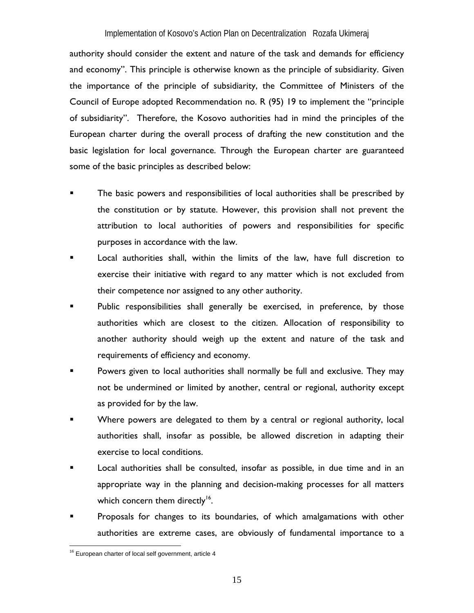authority should consider the extent and nature of the task and demands for efficiency and economy". This principle is otherwise known as the principle of subsidiarity. Given the importance of the principle of subsidiarity, the Committee of Ministers of the Council of Europe adopted Recommendation no. R (95) 19 to implement the "principle of subsidiarity". Therefore, the Kosovo authorities had in mind the principles of the European charter during the overall process of drafting the new constitution and the basic legislation for local governance. Through the European charter are guaranteed some of the basic principles as described below:

- The basic powers and responsibilities of local authorities shall be prescribed by the constitution or by statute. However, this provision shall not prevent the attribution to local authorities of powers and responsibilities for specific purposes in accordance with the law.
- Local authorities shall, within the limits of the law, have full discretion to exercise their initiative with regard to any matter which is not excluded from their competence nor assigned to any other authority.
- Public responsibilities shall generally be exercised, in preference, by those authorities which are closest to the citizen. Allocation of responsibility to another authority should weigh up the extent and nature of the task and requirements of efficiency and economy.
- Powers given to local authorities shall normally be full and exclusive. They may not be undermined or limited by another, central or regional, authority except as provided for by the law.
- Where powers are delegated to them by a central or regional authority, local authorities shall, insofar as possible, be allowed discretion in adapting their exercise to local conditions.
- Local authorities shall be consulted, insofar as possible, in due time and in an appropriate way in the planning and decision-making processes for all matters which concern them directly<sup>16</sup>.
- Proposals for changes to its boundaries, of which amalgamations with other authorities are extreme cases, are obviously of fundamental importance to a

<sup>1</sup>  $16$  European charter of local self government, article 4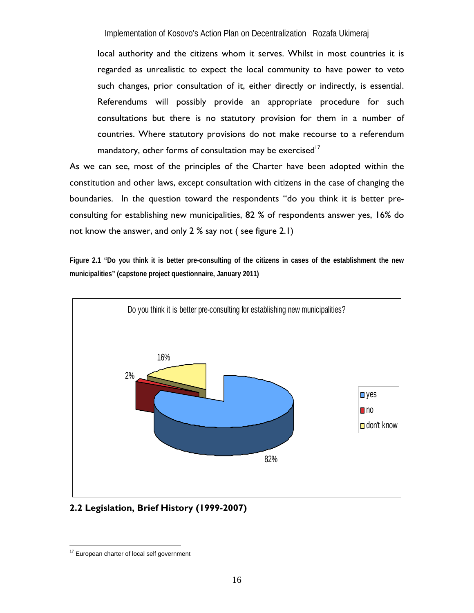local authority and the citizens whom it serves. Whilst in most countries it is regarded as unrealistic to expect the local community to have power to veto such changes, prior consultation of it, either directly or indirectly, is essential. Referendums will possibly provide an appropriate procedure for such consultations but there is no statutory provision for them in a number of countries. Where statutory provisions do not make recourse to a referendum mandatory, other forms of consultation may be exercised<sup>17</sup>

As we can see, most of the principles of the Charter have been adopted within the constitution and other laws, except consultation with citizens in the case of changing the boundaries. In the question toward the respondents "do you think it is better preconsulting for establishing new municipalities, 82 % of respondents answer yes, 16% do not know the answer, and only 2 % say not ( see figure 2.1)

**Figure 2.1 "Do you think it is better pre-consulting of the citizens in cases of the establishment the new municipalities" (capstone project questionnaire, January 2011)** 



# **2.2 Legislation, Brief History (1999-2007)**

 $\overline{a}$ <sup>17</sup> European charter of local self government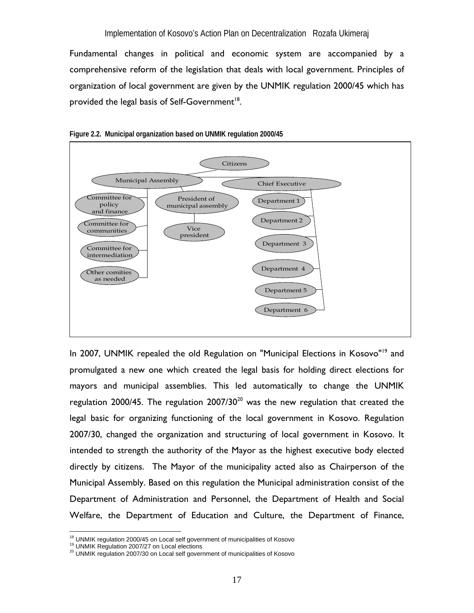Fundamental changes in political and economic system are accompanied by a comprehensive reform of the legislation that deals with local government. Principles of organization of local government are given by the UNMIK regulation 2000/45 which has provided the legal basis of Self-Government<sup>18</sup>.





In 2007, UNMIK repealed the old Regulation on "Municipal Elections in Kosovo"<sup>19</sup> and promulgated a new one which created the legal basis for holding direct elections for mayors and municipal assemblies. This led automatically to change the UNMIK regulation 2000/45. The regulation  $2007/30^{20}$  was the new regulation that created the legal basic for organizing functioning of the local government in Kosovo. Regulation 2007/30, changed the organization and structuring of local government in Kosovo. It intended to strength the authority of the Mayor as the highest executive body elected directly by citizens. The Mayor of the municipality acted also as Chairperson of the Municipal Assembly. Based on this regulation the Municipal administration consist of the Department of Administration and Personnel, the Department of Health and Social Welfare, the Department of Education and Culture, the Department of Finance,

<sup>&</sup>lt;sup>18</sup> UNMIK regulation 2000/45 on Local self government of municipalities of Kosovo

 $19$  UNMIK Regulation 2007/27 on Local elections<br> $20$  UNMIK regulation 2007/30 on Local self government of municipalities of Kosovo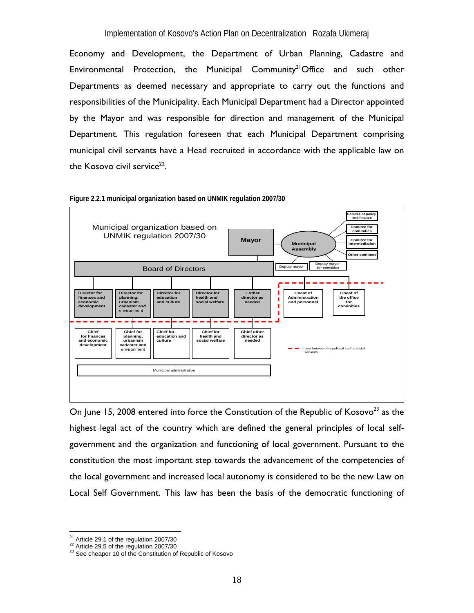Economy and Development, the Department of Urban Planning, Cadastre and Environmental Protection, the Municipal Community<sup>21</sup>Office and such other Departments as deemed necessary and appropriate to carry out the functions and responsibilities of the Municipality. Each Municipal Department had a Director appointed by the Mayor and was responsible for direction and management of the Municipal Department. This regulation foreseen that each Municipal Department comprising municipal civil servants have a Head recruited in accordance with the applicable law on the Kosovo civil service $22$ .



**Figure 2.2.1 municipal organization based on UNMIK regulation 2007/30** 

On June 15, 2008 entered into force the Constitution of the Republic of Kosovo<sup>23</sup> as the highest legal act of the country which are defined the general principles of local selfgovernment and the organization and functioning of local government. Pursuant to the constitution the most important step towards the advancement of the competencies of the local government and increased local autonomy is considered to be the new Law on Local Self Government. This law has been the basis of the democratic functioning of

 $21$  Article 29.1 of the regulation 2007/30

<sup>22</sup> Article 29.5 of the regulation 2007/30<br>
<sup>22</sup> See cheaper 10 of the Constitution of Republic of Kosovo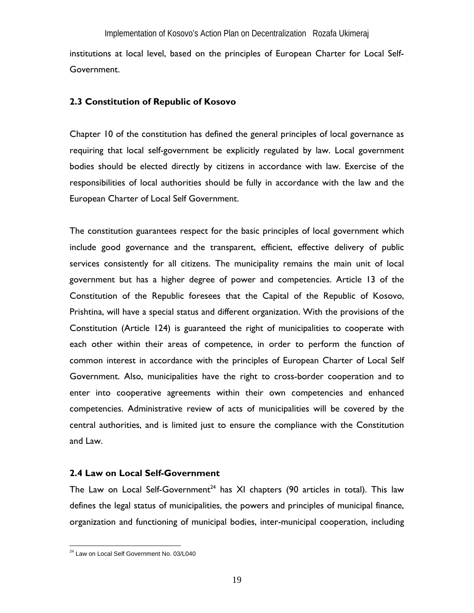institutions at local level, based on the principles of European Charter for Local Self-Government.

### **2.3 Constitution of Republic of Kosovo**

Chapter 10 of the constitution has defined the general principles of local governance as requiring that local self-government be explicitly regulated by law. Local government bodies should be elected directly by citizens in accordance with law. Exercise of the responsibilities of local authorities should be fully in accordance with the law and the European Charter of Local Self Government.

The constitution guarantees respect for the basic principles of local government which include good governance and the transparent, efficient, effective delivery of public services consistently for all citizens. The municipality remains the main unit of local government but has a higher degree of power and competencies. Article 13 of the Constitution of the Republic foresees that the Capital of the Republic of Kosovo, Prishtina, will have a special status and different organization. With the provisions of the Constitution (Article 124) is guaranteed the right of municipalities to cooperate with each other within their areas of competence, in order to perform the function of common interest in accordance with the principles of European Charter of Local Self Government. Also, municipalities have the right to cross-border cooperation and to enter into cooperative agreements within their own competencies and enhanced competencies. Administrative review of acts of municipalities will be covered by the central authorities, and is limited just to ensure the compliance with the Constitution and Law.

### **2.4 Law on Local Self-Government**

The Law on Local Self-Government<sup>24</sup> has XI chapters (90 articles in total). This law defines the legal status of municipalities, the powers and principles of municipal finance, organization and functioning of municipal bodies, inter-municipal cooperation, including

<sup>&</sup>lt;sup>24</sup> Law on Local Self Government No. 03/L040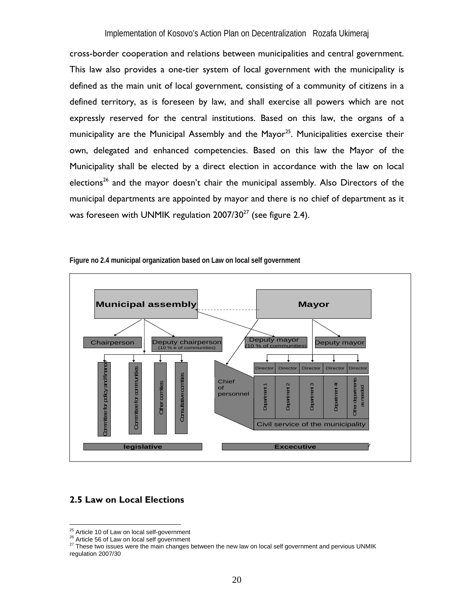cross-border cooperation and relations between municipalities and central government. This law also provides a one-tier system of local government with the municipality is defined as the main unit of local government, consisting of a community of citizens in a defined territory, as is foreseen by law, and shall exercise all powers which are not expressly reserved for the central institutions. Based on this law, the organs of a municipality are the Municipal Assembly and the Mayor<sup>25</sup>. Municipalities exercise their own, delegated and enhanced competencies. Based on this law the Mayor of the Municipality shall be elected by a direct election in accordance with the law on local elections<sup>26</sup> and the mayor doesn't chair the municipal assembly. Also Directors of the municipal departments are appointed by mayor and there is no chief of department as it was foreseen with UNMIK regulation  $2007/30^{27}$  (see figure 2.4).



**Figure no 2.4 municipal organization based on Law on local self government** 

# **2.5 Law on Local Elections**

<sup>&</sup>lt;sup>25</sup> Article 10 of Law on local self-government

<sup>26</sup> Article 10 of Law on local self-government<br>26 Article 56 of Law on local self-government<br>27 These two issues were the main changes between the new law on local self government and pervious UNMIK regulation 2007/30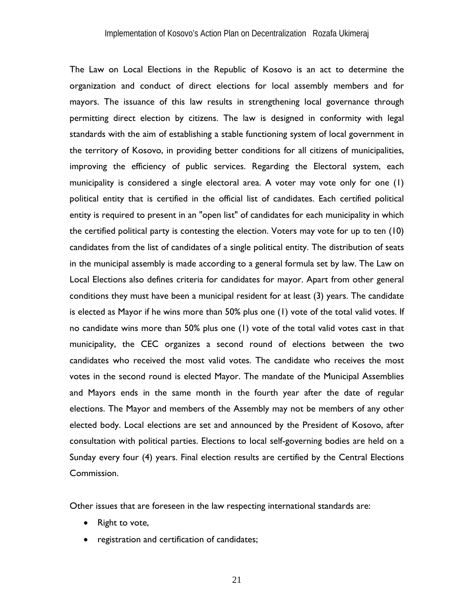The Law on Local Elections in the Republic of Kosovo is an act to determine the organization and conduct of direct elections for local assembly members and for mayors. The issuance of this law results in strengthening local governance through permitting direct election by citizens. The law is designed in conformity with legal standards with the aim of establishing a stable functioning system of local government in the territory of Kosovo, in providing better conditions for all citizens of municipalities, improving the efficiency of public services. Regarding the Electoral system, each municipality is considered a single electoral area. A voter may vote only for one (1) political entity that is certified in the official list of candidates. Each certified political entity is required to present in an "open list" of candidates for each municipality in which the certified political party is contesting the election. Voters may vote for up to ten (10) candidates from the list of candidates of a single political entity. The distribution of seats in the municipal assembly is made according to a general formula set by law. The Law on Local Elections also defines criteria for candidates for mayor. Apart from other general conditions they must have been a municipal resident for at least (3) years. The candidate is elected as Mayor if he wins more than 50% plus one (1) vote of the total valid votes. If no candidate wins more than 50% plus one (1) vote of the total valid votes cast in that municipality, the CEC organizes a second round of elections between the two candidates who received the most valid votes. The candidate who receives the most votes in the second round is elected Mayor. The mandate of the Municipal Assemblies and Mayors ends in the same month in the fourth year after the date of regular elections. The Mayor and members of the Assembly may not be members of any other elected body. Local elections are set and announced by the President of Kosovo, after consultation with political parties. Elections to local self-governing bodies are held on a Sunday every four (4) years. Final election results are certified by the Central Elections Commission.

Other issues that are foreseen in the law respecting international standards are:

- Right to vote,
- registration and certification of candidates;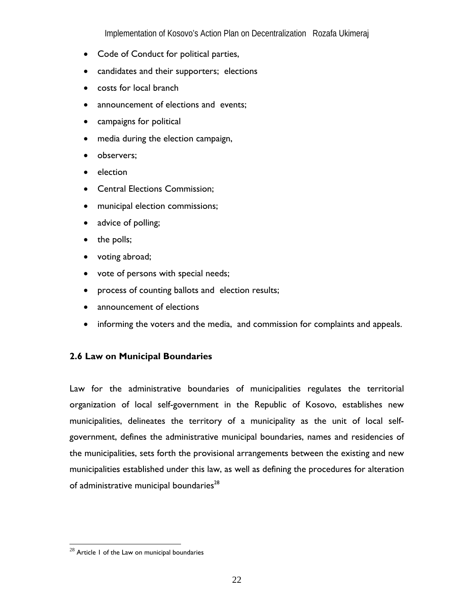- Code of Conduct for political parties,
- candidates and their supporters; elections
- costs for local branch
- announcement of elections and events;
- campaigns for political
- media during the election campaign,
- observers;
- election
- Central Elections Commission;
- municipal election commissions;
- advice of polling;
- the polls;
- voting abroad;
- vote of persons with special needs;
- process of counting ballots and election results;
- announcement of elections
- informing the voters and the media, and commission for complaints and appeals.

### **2.6 Law on Municipal Boundaries**

Law for the administrative boundaries of municipalities regulates the territorial organization of local self-government in the Republic of Kosovo, establishes new municipalities, delineates the territory of a municipality as the unit of local selfgovernment, defines the administrative municipal boundaries, names and residencies of the municipalities, sets forth the provisional arrangements between the existing and new municipalities established under this law, as well as defining the procedures for alteration of administrative municipal boundaries<sup>28</sup>

<u>.</u>

 $^{28}$  Article 1 of the Law on municipal boundaries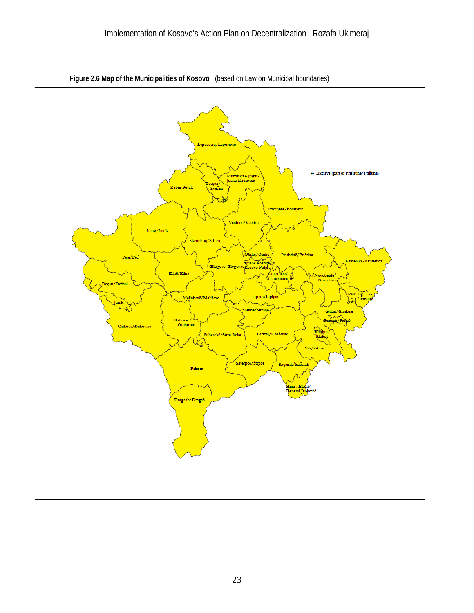

**Figure 2.6 Map of the Municipalities of Kosovo** (based on Law on Municipal boundaries)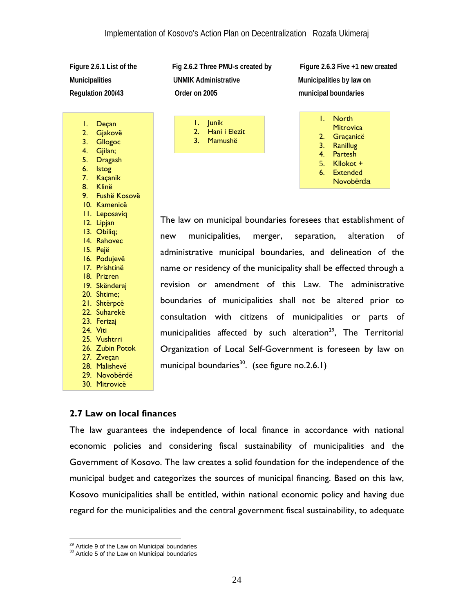1. Deçan 2. Gjakovë 3. Gllogoc 4. Gjilan; 5. Dragash 6. Istog 7. Kaçanik 8. Klinë

9. Fushë Kosovë 10. Kamenicë 11. Leposaviq 12. Lipjan 13. Obiliq; 14. Rahovec 15. Pejë 16. Podujevë 17. Prishtinë 18. Prizren 19. Skënderaj 20. Shtime; 21. Shtërpcë 22. Suharekë 23. Ferizaj 24. Viti 25. Vushtrri 26. Zubin Potok 27. Zveçan 28. Malishevë 29. Novobërdë 30. Mitrovicë

**Municipalities UNMIK Administrative Municipalities by law on Regulation 200/43 Order on 2005 municipal boundaries** 

> 1. Junik 2. Hani i Elezit 3. Mamushë

Figure 2.6.1 List of the Fig 2.6.2 Three PMU-s created by Figure 2.6.3 Five +1 new created

| L. | <b>North</b><br>Mitrovica |
|----|---------------------------|
| 2. | Graçanicë                 |
|    |                           |
| 3. | Ranillug                  |
| 4. | Partesh                   |
| 5. | Kllokot +                 |
| 6. | <b>Extended</b>           |
|    | Novobërda                 |

The law on municipal boundaries foresees that establishment of new municipalities, merger, separation, alteration of administrative municipal boundaries, and delineation of the name or residency of the municipality shall be effected through a revision or amendment of this Law. The administrative boundaries of municipalities shall not be altered prior to consultation with citizens of municipalities or parts of municipalities affected by such alteration<sup>29</sup>, The Territorial Organization of Local Self-Government is foreseen by law on municipal boundaries<sup>30</sup>. (see figure no.2.6.1)

### **2.7 Law on local finances**

The law guarantees the independence of local finance in accordance with national economic policies and considering fiscal sustainability of municipalities and the Government of Kosovo. The law creates a solid foundation for the independence of the municipal budget and categorizes the sources of municipal financing. Based on this law, Kosovo municipalities shall be entitled, within national economic policy and having due regard for the municipalities and the central government fiscal sustainability, to adequate

<sup>&</sup>lt;sup>29</sup> Article 9 of the Law on Municipal boundaries

<sup>29</sup> Article 9 of the Law on Municipal boundaries 30 Article 5 of the Law on Municipal boundaries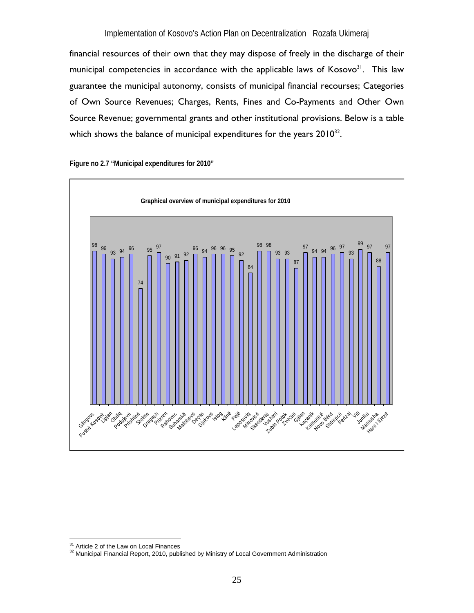financial resources of their own that they may dispose of freely in the discharge of their municipal competencies in accordance with the applicable laws of Kosovo<sup>31</sup>. This law guarantee the municipal autonomy, consists of municipal financial recourses; Categories of Own Source Revenues; Charges, Rents, Fines and Co-Payments and Other Own Source Revenue; governmental grants and other institutional provisions. Below is a table which shows the balance of municipal expenditures for the years  $2010^{32}$ .

**Graphical overview of municipal expenditures for 2010** <sup>98</sup> <sup>96</sup> <sup>93</sup> <sup>94</sup> <sup>96</sup> 74 95 90 91 92 <sup>96</sup> <sup>94</sup> 96 96 <sup>95</sup> 92 84 98 98 93 93 87 97 94 96 97 93  $^{99}_{-}$  97 88 **97** Eugene Constitution Prizrencë Arakan (1987-1988)<br>Pejërë Prizrencë Prizrencë Preze Preze Preze Prizrencë Preze Peie <sub>Sk</sub>iro<sub>vicë deraj</sub> Zubin Potus Ca<sub>cil</sub>land<br>Justin Potus Cacillandi kamenicë gabarçë sizë Jis Juniku **Mamusha** Hani Elezit

**Figure no 2.7 "Municipal expenditures for 2010"**

<sup>&</sup>lt;sup>31</sup> Article 2 of the Law on Local Finances

<sup>&</sup>lt;sup>32</sup> Municipal Financial Report, 2010, published by Ministry of Local Government Administration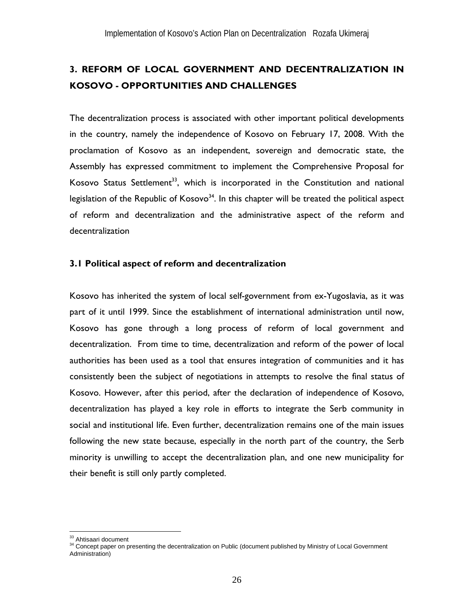# **3. REFORM OF LOCAL GOVERNMENT AND DECENTRALIZATION IN KOSOVO - OPPORTUNITIES AND CHALLENGES**

The decentralization process is associated with other important political developments in the country, namely the independence of Kosovo on February 17, 2008. With the proclamation of Kosovo as an independent, sovereign and democratic state, the Assembly has expressed commitment to implement the Comprehensive Proposal for Kosovo Status Settlement<sup>33</sup>, which is incorporated in the Constitution and national legislation of the Republic of Kosovo $34$ . In this chapter will be treated the political aspect of reform and decentralization and the administrative aspect of the reform and decentralization

### **3.1 Political aspect of reform and decentralization**

Kosovo has inherited the system of local self-government from ex-Yugoslavia, as it was part of it until 1999. Since the establishment of international administration until now, Kosovo has gone through a long process of reform of local government and decentralization. From time to time, decentralization and reform of the power of local authorities has been used as a tool that ensures integration of communities and it has consistently been the subject of negotiations in attempts to resolve the final status of Kosovo. However, after this period, after the declaration of independence of Kosovo, decentralization has played a key role in efforts to integrate the Serb community in social and institutional life. Even further, decentralization remains one of the main issues following the new state because, especially in the north part of the country, the Serb minority is unwilling to accept the decentralization plan, and one new municipality for their benefit is still only partly completed.

<sup>&</sup>lt;sup>33</sup> Ahtisaari document

<sup>&</sup>lt;sup>34</sup> Concept paper on presenting the decentralization on Public (document published by Ministry of Local Government Administration)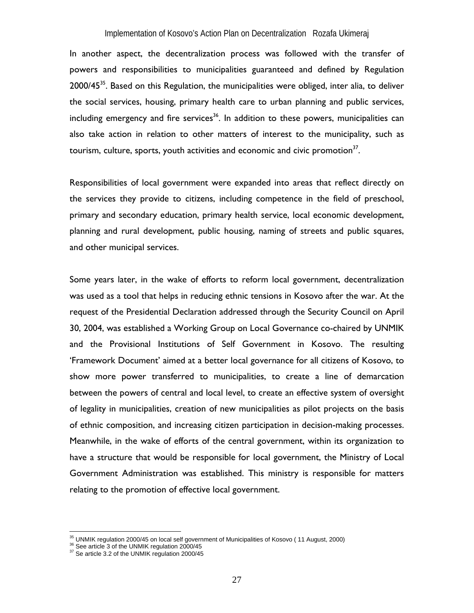In another aspect, the decentralization process was followed with the transfer of powers and responsibilities to municipalities guaranteed and defined by Regulation  $2000/45^{35}$ . Based on this Regulation, the municipalities were obliged, inter alia, to deliver the social services, housing, primary health care to urban planning and public services, including emergency and fire services<sup>36</sup>. In addition to these powers, municipalities can also take action in relation to other matters of interest to the municipality, such as tourism, culture, sports, youth activities and economic and civic promotion $37$ .

Responsibilities of local government were expanded into areas that reflect directly on the services they provide to citizens, including competence in the field of preschool, primary and secondary education, primary health service, local economic development, planning and rural development, public housing, naming of streets and public squares, and other municipal services.

Some years later, in the wake of efforts to reform local government, decentralization was used as a tool that helps in reducing ethnic tensions in Kosovo after the war. At the request of the Presidential Declaration addressed through the Security Council on April 30, 2004, was established a Working Group on Local Governance co-chaired by UNMIK and the Provisional Institutions of Self Government in Kosovo. The resulting 'Framework Document' aimed at a better local governance for all citizens of Kosovo, to show more power transferred to municipalities, to create a line of demarcation between the powers of central and local level, to create an effective system of oversight of legality in municipalities, creation of new municipalities as pilot projects on the basis of ethnic composition, and increasing citizen participation in decision-making processes. Meanwhile, in the wake of efforts of the central government, within its organization to have a structure that would be responsible for local government, the Ministry of Local Government Administration was established. This ministry is responsible for matters relating to the promotion of effective local government.

 $\overline{a}$ 

<sup>&</sup>lt;sup>35</sup> UNMIK regulation 2000/45 on local self government of Municipalities of Kosovo ( 11 August, 2000)<br><sup>36</sup> See article 3 of the UNMIK regulation 2000/45<br><sup>37</sup> Se article 3.2 of the UNMIK regulation 2000/45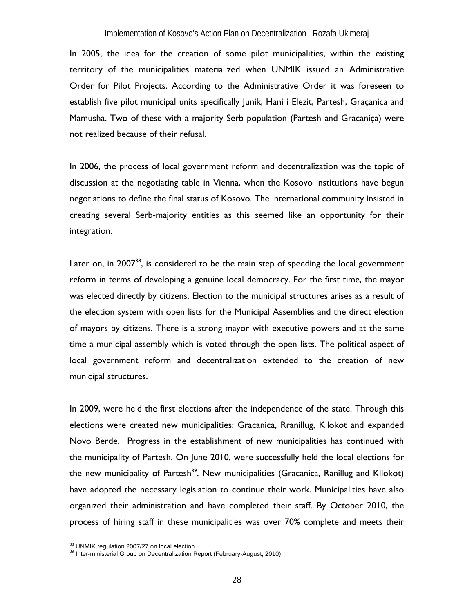In 2005, the idea for the creation of some pilot municipalities, within the existing territory of the municipalities materialized when UNMIK issued an Administrative Order for Pilot Projects. According to the Administrative Order it was foreseen to establish five pilot municipal units specifically Junik, Hani i Elezit, Partesh, Graçanica and Mamusha. Two of these with a majority Serb population (Partesh and Gracaniça) were not realized because of their refusal.

In 2006, the process of local government reform and decentralization was the topic of discussion at the negotiating table in Vienna, when the Kosovo institutions have begun negotiations to define the final status of Kosovo. The international community insisted in creating several Serb-majority entities as this seemed like an opportunity for their integration.

Later on, in  $2007^{38}$ , is considered to be the main step of speeding the local government reform in terms of developing a genuine local democracy. For the first time, the mayor was elected directly by citizens. Election to the municipal structures arises as a result of the election system with open lists for the Municipal Assemblies and the direct election of mayors by citizens. There is a strong mayor with executive powers and at the same time a municipal assembly which is voted through the open lists. The political aspect of local government reform and decentralization extended to the creation of new municipal structures.

In 2009, were held the first elections after the independence of the state. Through this elections were created new municipalities: Gracanica, Rranillug, Kllokot and expanded Novo Bërdë. Progress in the establishment of new municipalities has continued with the municipality of Partesh. On June 2010, were successfully held the local elections for the new municipality of Partesh<sup>39</sup>. New municipalities (Gracanica, Ranillug and Kllokot) have adopted the necessary legislation to continue their work. Municipalities have also organized their administration and have completed their staff. By October 2010, the process of hiring staff in these municipalities was over 70% complete and meets their

<sup>&</sup>lt;sup>38</sup> UNMIK regulation 2007/27 on local election

<sup>39</sup> Inter-ministerial Group on Decentralization Report (February-August, 2010)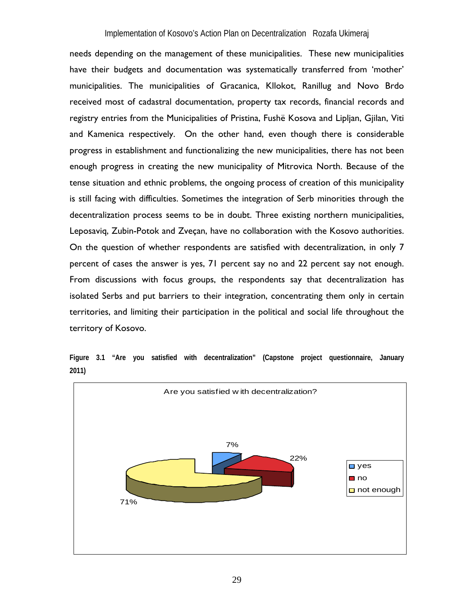needs depending on the management of these municipalities. These new municipalities have their budgets and documentation was systematically transferred from 'mother' municipalities. The municipalities of Gracanica, Kllokot, Ranillug and Novo Brdo received most of cadastral documentation, property tax records, financial records and registry entries from the Municipalities of Pristina, Fushë Kosova and Lipljan, Gjilan, Viti and Kamenica respectively. On the other hand, even though there is considerable progress in establishment and functionalizing the new municipalities, there has not been enough progress in creating the new municipality of Mitrovica North. Because of the tense situation and ethnic problems, the ongoing process of creation of this municipality is still facing with difficulties. Sometimes the integration of Serb minorities through the decentralization process seems to be in doubt. Three existing northern municipalities, Leposaviq, Zubin-Potok and Zveçan, have no collaboration with the Kosovo authorities. On the question of whether respondents are satisfied with decentralization, in only 7 percent of cases the answer is yes, 71 percent say no and 22 percent say not enough. From discussions with focus groups, the respondents say that decentralization has isolated Serbs and put barriers to their integration, concentrating them only in certain territories, and limiting their participation in the political and social life throughout the territory of Kosovo.

**Figure 3.1 "Are you satisfied with decentralization" (Capstone project questionnaire, January 2011)**

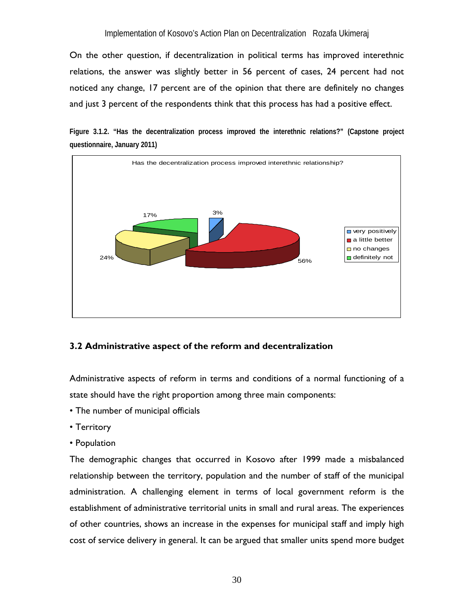On the other question, if decentralization in political terms has improved interethnic relations, the answer was slightly better in 56 percent of cases, 24 percent had not noticed any change, 17 percent are of the opinion that there are definitely no changes and just 3 percent of the respondents think that this process has had a positive effect.

**Figure 3.1.2. "Has the decentralization process improved the interethnic relations?" (Capstone project questionnaire, January 2011)** 



# **3.2 Administrative aspect of the reform and decentralization**

Administrative aspects of reform in terms and conditions of a normal functioning of a state should have the right proportion among three main components:

- The number of municipal officials
- Territory
- Population

The demographic changes that occurred in Kosovo after 1999 made a misbalanced relationship between the territory, population and the number of staff of the municipal administration. A challenging element in terms of local government reform is the establishment of administrative territorial units in small and rural areas. The experiences of other countries, shows an increase in the expenses for municipal staff and imply high cost of service delivery in general. It can be argued that smaller units spend more budget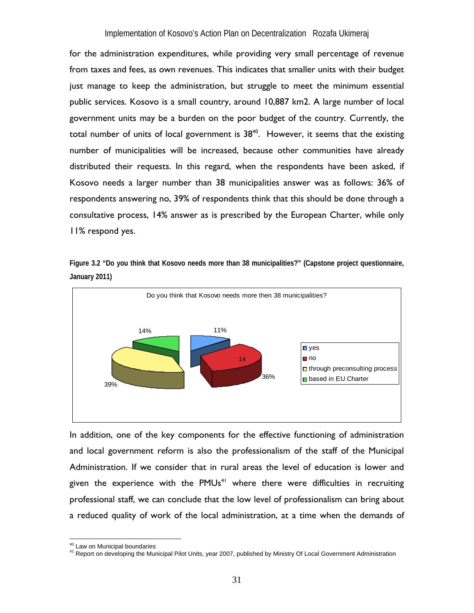for the administration expenditures, while providing very small percentage of revenue from taxes and fees, as own revenues. This indicates that smaller units with their budget just manage to keep the administration, but struggle to meet the minimum essential public services. Kosovo is a small country, around 10,887 km2. A large number of local government units may be a burden on the poor budget of the country. Currently, the total number of units of local government is  $38^{40}$ . However, it seems that the existing number of municipalities will be increased, because other communities have already distributed their requests. In this regard, when the respondents have been asked, if Kosovo needs a larger number than 38 municipalities answer was as follows: 36% of respondents answering no, 39% of respondents think that this should be done through a consultative process, 14% answer as is prescribed by the European Charter, while only 11% respond yes.





In addition, one of the key components for the effective functioning of administration and local government reform is also the professionalism of the staff of the Municipal Administration. If we consider that in rural areas the level of education is lower and given the experience with the PMUs<sup>41</sup> where there were difficulties in recruiting professional staff, we can conclude that the low level of professionalism can bring about a reduced quality of work of the local administration, at a time when the demands of

<sup>&</sup>lt;sup>40</sup> Law on Municipal boundaries

<sup>41</sup> Report on developing the Municipal Pilot Units, year 2007, published by Ministry Of Local Government Administration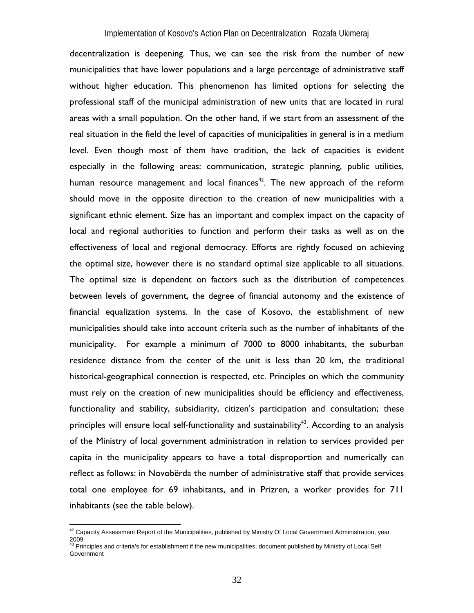decentralization is deepening. Thus, we can see the risk from the number of new municipalities that have lower populations and a large percentage of administrative staff without higher education. This phenomenon has limited options for selecting the professional staff of the municipal administration of new units that are located in rural areas with a small population. On the other hand, if we start from an assessment of the real situation in the field the level of capacities of municipalities in general is in a medium level. Even though most of them have tradition, the lack of capacities is evident especially in the following areas: communication, strategic planning, public utilities, human resource management and local finances<sup>42</sup>. The new approach of the reform should move in the opposite direction to the creation of new municipalities with a significant ethnic element. Size has an important and complex impact on the capacity of local and regional authorities to function and perform their tasks as well as on the effectiveness of local and regional democracy. Efforts are rightly focused on achieving the optimal size, however there is no standard optimal size applicable to all situations. The optimal size is dependent on factors such as the distribution of competences between levels of government, the degree of financial autonomy and the existence of financial equalization systems. In the case of Kosovo, the establishment of new municipalities should take into account criteria such as the number of inhabitants of the municipality. For example a minimum of 7000 to 8000 inhabitants, the suburban residence distance from the center of the unit is less than 20 km, the traditional historical-geographical connection is respected, etc. Principles on which the community must rely on the creation of new municipalities should be efficiency and effectiveness, functionality and stability, subsidiarity, citizen's participation and consultation; these principles will ensure local self-functionality and sustainability<sup>43</sup>. According to an analysis of the Ministry of local government administration in relation to services provided per capita in the municipality appears to have a total disproportion and numerically can reflect as follows: in Novobërda the number of administrative staff that provide services total one employee for 69 inhabitants, and in Prizren, a worker provides for 711 inhabitants (see the table below).

 $\overline{a}$ 

 $^{42}$  Capacity Assessment Report of the Municipalities, published by Ministry Of Local Government Administration, year 2009<br><sup>43</sup> Principles and criteria's for establishment if the new municipalities, document published by Ministry of Local Self

**Government**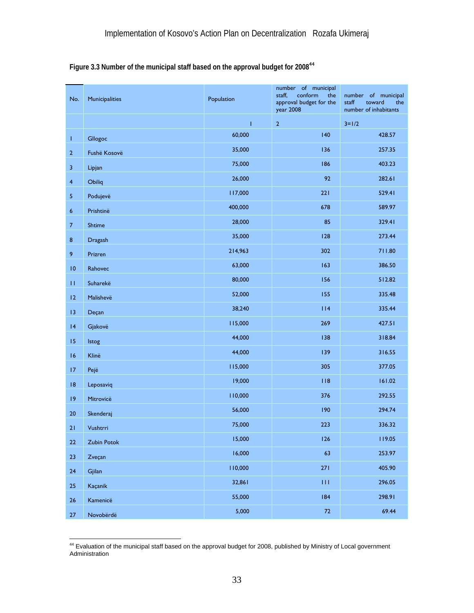|  | Figure 3.3 Number of the municipal staff based on the approval budget for 2008 <sup>44</sup> |  |  |  |
|--|----------------------------------------------------------------------------------------------|--|--|--|
|  |                                                                                              |  |  |  |

| No.                     | Municipalities | Population | number of municipal<br>conform<br>staff,<br>the<br>approval budget for the<br>year 2008 | number of municipal<br>staff<br>toward<br>the<br>number of inhabitants |
|-------------------------|----------------|------------|-----------------------------------------------------------------------------------------|------------------------------------------------------------------------|
|                         |                | Ť          | $\overline{2}$                                                                          | $3 = 1/2$                                                              |
| T                       | Gllogoc        | 60,000     | 140                                                                                     | 428.57                                                                 |
| $\overline{2}$          | Fushë Kosovë   | 35,000     | 136                                                                                     | 257.35                                                                 |
| $\mathsf 3$             | Lipjan         | 75,000     | 186                                                                                     | 403.23                                                                 |
| $\overline{\mathbf{4}}$ | Obiliq         | 26,000     | 92                                                                                      | 282.61                                                                 |
| $\sqrt{5}$              | Podujevë       | 117,000    | 221                                                                                     | 529.41                                                                 |
| $6\phantom{1}6$         | Prishtinë      | 400,000    | 678                                                                                     | 589.97                                                                 |
| $\overline{7}$          | Shtime         | 28,000     | 85                                                                                      | 329.41                                                                 |
| $\bf 8$                 | Dragash        | 35,000     | 128                                                                                     | 273.44                                                                 |
| 9                       | Prizren        | 214,963    | 302                                                                                     | 711.80                                                                 |
| 10                      | Rahovec        | 63,000     | 163                                                                                     | 386.50                                                                 |
| $\mathbf{H}$            | Suharekë       | 80,000     | 156                                                                                     | 512.82                                                                 |
| 12                      | Malishevë      | 52,000     | 155                                                                                     | 335.48                                                                 |
| 13                      | Deçan          | 38,240     | 114                                                                                     | 335.44                                                                 |
| 4                       | Gjakovë        | 115,000    | 269                                                                                     | 427.51                                                                 |
| 15                      | Istog          | 44,000     | 138                                                                                     | 318.84                                                                 |
| 16                      | Klinë          | 44,000     | 139                                                                                     | 316.55                                                                 |
| 17                      | Pejë           | 115,000    | 305                                                                                     | 377.05                                                                 |
| 8                       | Leposaviq      | 19,000     | 118                                                                                     | 161.02                                                                 |
| 9                       | Mitrovicë      | 110,000    | 376                                                                                     | 292.55                                                                 |
| 20                      | Skenderaj      | 56,000     | 190                                                                                     | 294.74                                                                 |
| 21                      | Vushtrri       | 75,000     | 223                                                                                     | 336.32                                                                 |
| 22                      | Zubin Potok    | 15,000     | 126                                                                                     | 119.05                                                                 |
| 23                      | Zveçan         | 16,000     | 63                                                                                      | 253.97                                                                 |
| 24                      | Gjilan         | 110,000    | 271                                                                                     | 405.90                                                                 |
| 25                      | Kaçanik        | 32,861     | 111                                                                                     | 296.05                                                                 |
| 26                      | Kamenicë       | 55,000     | 184                                                                                     | 298.91                                                                 |
| 27                      | Novobërdë      | 5,000      | 72                                                                                      | 69.44                                                                  |

 $\overline{a}$ <sup>44</sup> Evaluation of the municipal staff based on the approval budget for 2008, published by Ministry of Local government Administration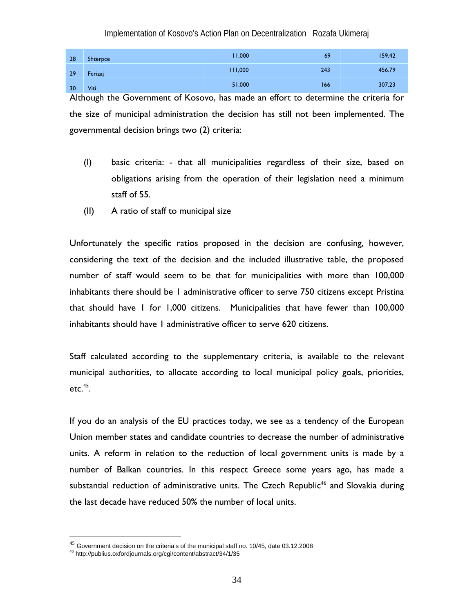| 28 | Shtërpcë | 11,000  | 69  | 159.42 |
|----|----------|---------|-----|--------|
| 29 | Ferizaj  | 111,000 | 243 | 456.79 |
| 30 | Viti     | 51,000  | 166 | 307.23 |

Although the Government of Kosovo, has made an effort to determine the criteria for the size of municipal administration the decision has still not been implemented. The governmental decision brings two (2) criteria:

- (I) basic criteria: that all municipalities regardless of their size, based on obligations arising from the operation of their legislation need a minimum staff of 55.
- (II) A ratio of staff to municipal size

Unfortunately the specific ratios proposed in the decision are confusing, however, considering the text of the decision and the included illustrative table, the proposed number of staff would seem to be that for municipalities with more than 100,000 inhabitants there should be 1 administrative officer to serve 750 citizens except Pristina that should have 1 for 1,000 citizens. Municipalities that have fewer than 100,000 inhabitants should have 1 administrative officer to serve 620 citizens.

Staff calculated according to the supplementary criteria, is available to the relevant municipal authorities, to allocate according to local municipal policy goals, priorities,  $etc.<sup>45</sup>$ .

If you do an analysis of the EU practices today, we see as a tendency of the European Union member states and candidate countries to decrease the number of administrative units. A reform in relation to the reduction of local government units is made by a number of Balkan countries. In this respect Greece some years ago, has made a substantial reduction of administrative units. The Czech Republic<sup>46</sup> and Slovakia during the last decade have reduced 50% the number of local units.

 $\overline{a}$ 

 $^{45}$  Government decision on the criteria's of the municipal staff no. 10/45, date 03.12.2008  $^{46}$  http://publius.oxfordjournals.org/cgi/content/abstract/34/1/35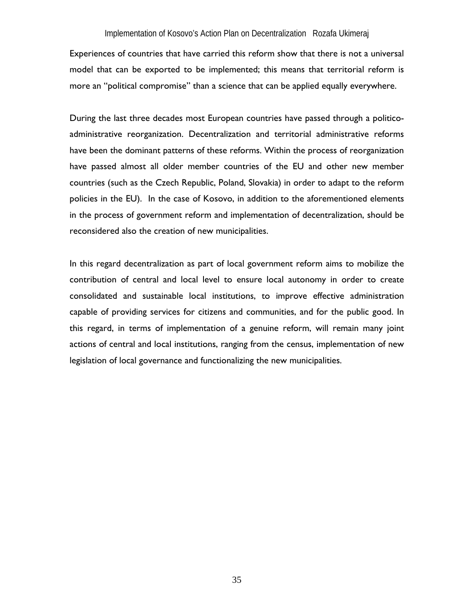Experiences of countries that have carried this reform show that there is not a universal model that can be exported to be implemented; this means that territorial reform is more an "political compromise" than a science that can be applied equally everywhere.

During the last three decades most European countries have passed through a politicoadministrative reorganization. Decentralization and territorial administrative reforms have been the dominant patterns of these reforms. Within the process of reorganization have passed almost all older member countries of the EU and other new member countries (such as the Czech Republic, Poland, Slovakia) in order to adapt to the reform policies in the EU). In the case of Kosovo, in addition to the aforementioned elements in the process of government reform and implementation of decentralization, should be reconsidered also the creation of new municipalities.

In this regard decentralization as part of local government reform aims to mobilize the contribution of central and local level to ensure local autonomy in order to create consolidated and sustainable local institutions, to improve effective administration capable of providing services for citizens and communities, and for the public good. In this regard, in terms of implementation of a genuine reform, will remain many joint actions of central and local institutions, ranging from the census, implementation of new legislation of local governance and functionalizing the new municipalities.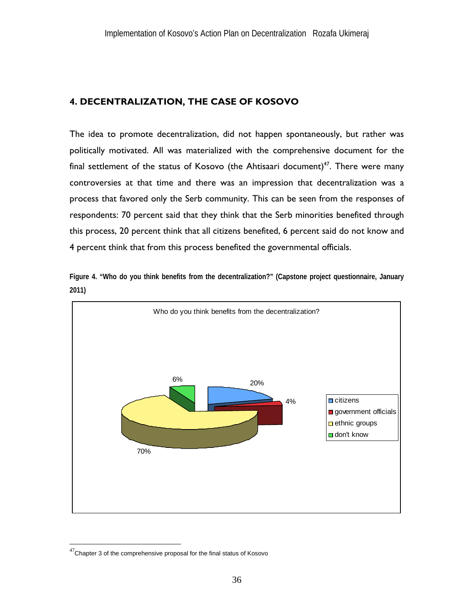# **4. DECENTRALIZATION, THE CASE OF KOSOVO**

The idea to promote decentralization, did not happen spontaneously, but rather was politically motivated. All was materialized with the comprehensive document for the final settlement of the status of Kosovo (the Ahtisaari document)<sup>47</sup>. There were many controversies at that time and there was an impression that decentralization was a process that favored only the Serb community. This can be seen from the responses of respondents: 70 percent said that they think that the Serb minorities benefited through this process, 20 percent think that all citizens benefited, 6 percent said do not know and 4 percent think that from this process benefited the governmental officials.

**Figure 4. "Who do you think benefits from the decentralization?" (Capstone project questionnaire, January 2011)** 



 $47$ Chapter 3 of the comprehensive proposal for the final status of Kosovo

 $\overline{a}$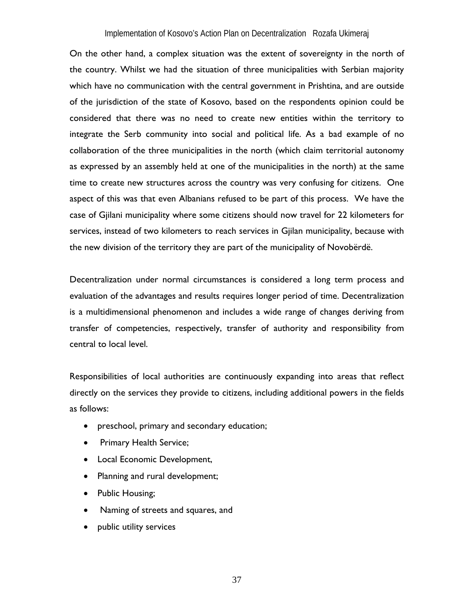On the other hand, a complex situation was the extent of sovereignty in the north of the country. Whilst we had the situation of three municipalities with Serbian majority which have no communication with the central government in Prishtina, and are outside of the jurisdiction of the state of Kosovo, based on the respondents opinion could be considered that there was no need to create new entities within the territory to integrate the Serb community into social and political life. As a bad example of no collaboration of the three municipalities in the north (which claim territorial autonomy as expressed by an assembly held at one of the municipalities in the north) at the same time to create new structures across the country was very confusing for citizens. One aspect of this was that even Albanians refused to be part of this process. We have the case of Gjilani municipality where some citizens should now travel for 22 kilometers for services, instead of two kilometers to reach services in Gjilan municipality, because with the new division of the territory they are part of the municipality of Novobërdë.

Decentralization under normal circumstances is considered a long term process and evaluation of the advantages and results requires longer period of time. Decentralization is a multidimensional phenomenon and includes a wide range of changes deriving from transfer of competencies, respectively, transfer of authority and responsibility from central to local level.

Responsibilities of local authorities are continuously expanding into areas that reflect directly on the services they provide to citizens, including additional powers in the fields as follows:

- preschool, primary and secondary education;
- Primary Health Service;
- Local Economic Development,
- Planning and rural development;
- Public Housing;
- Naming of streets and squares, and
- public utility services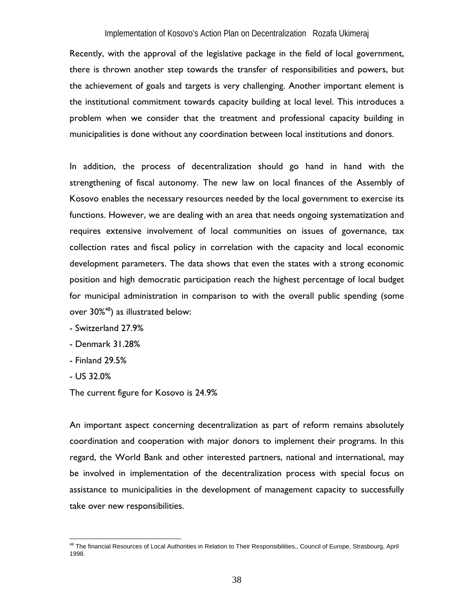Recently, with the approval of the legislative package in the field of local government, there is thrown another step towards the transfer of responsibilities and powers, but the achievement of goals and targets is very challenging. Another important element is the institutional commitment towards capacity building at local level. This introduces a problem when we consider that the treatment and professional capacity building in municipalities is done without any coordination between local institutions and donors.

In addition, the process of decentralization should go hand in hand with the strengthening of fiscal autonomy. The new law on local finances of the Assembly of Kosovo enables the necessary resources needed by the local government to exercise its functions. However, we are dealing with an area that needs ongoing systematization and requires extensive involvement of local communities on issues of governance, tax collection rates and fiscal policy in correlation with the capacity and local economic development parameters. The data shows that even the states with a strong economic position and high democratic participation reach the highest percentage of local budget for municipal administration in comparison to with the overall public spending (some over 30%48) as illustrated below:

- Switzerland 27.9%
- Denmark 31.28%
- Finland 29.5%
- US 32.0%

 $\overline{a}$ 

The current figure for Kosovo is 24.9%

An important aspect concerning decentralization as part of reform remains absolutely coordination and cooperation with major donors to implement their programs. In this regard, the World Bank and other interested partners, national and international, may be involved in implementation of the decentralization process with special focus on assistance to municipalities in the development of management capacity to successfully take over new responsibilities.

<sup>&</sup>lt;sup>48</sup> The financial Resources of Local Authorities in Relation to Their Responsibilities,, Council of Europe, Strasbourg, April 1998.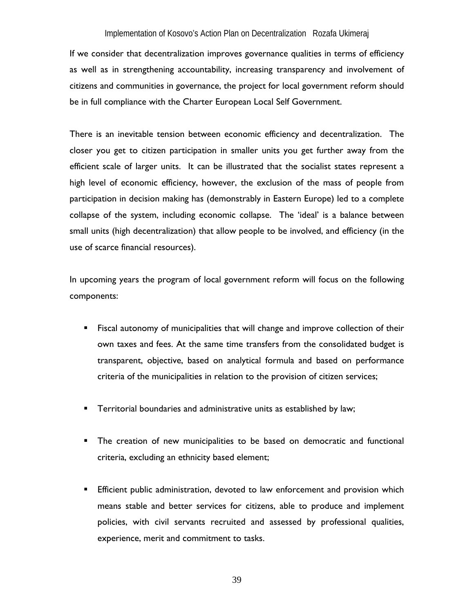If we consider that decentralization improves governance qualities in terms of efficiency as well as in strengthening accountability, increasing transparency and involvement of citizens and communities in governance, the project for local government reform should be in full compliance with the Charter European Local Self Government.

There is an inevitable tension between economic efficiency and decentralization. The closer you get to citizen participation in smaller units you get further away from the efficient scale of larger units. It can be illustrated that the socialist states represent a high level of economic efficiency, however, the exclusion of the mass of people from participation in decision making has (demonstrably in Eastern Europe) led to a complete collapse of the system, including economic collapse. The 'ideal' is a balance between small units (high decentralization) that allow people to be involved, and efficiency (in the use of scarce financial resources).

In upcoming years the program of local government reform will focus on the following components:

- **Fiscal autonomy of municipalities that will change and improve collection of their** own taxes and fees. At the same time transfers from the consolidated budget is transparent, objective, based on analytical formula and based on performance criteria of the municipalities in relation to the provision of citizen services;
- **Territorial boundaries and administrative units as established by law;**
- The creation of new municipalities to be based on democratic and functional criteria, excluding an ethnicity based element;
- Efficient public administration, devoted to law enforcement and provision which means stable and better services for citizens, able to produce and implement policies, with civil servants recruited and assessed by professional qualities, experience, merit and commitment to tasks.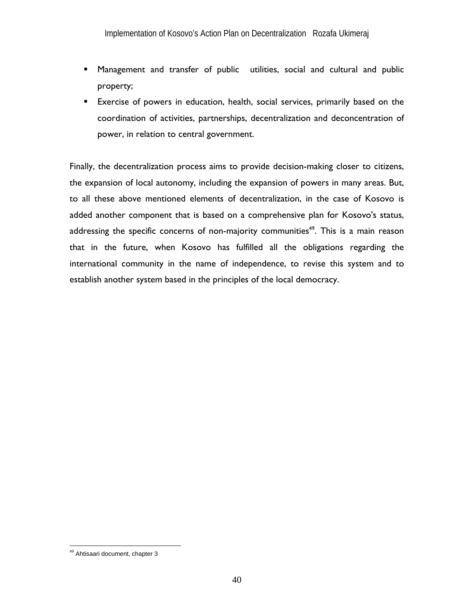- Management and transfer of public utilities, social and cultural and public property;
- Exercise of powers in education, health, social services, primarily based on the coordination of activities, partnerships, decentralization and deconcentration of power, in relation to central government.

Finally, the decentralization process aims to provide decision-making closer to citizens, the expansion of local autonomy, including the expansion of powers in many areas. But, to all these above mentioned elements of decentralization, in the case of Kosovo is added another component that is based on a comprehensive plan for Kosovo's status, addressing the specific concerns of non-majority communities<sup>49</sup>. This is a main reason that in the future, when Kosovo has fulfilled all the obligations regarding the international community in the name of independence, to revise this system and to establish another system based in the principles of the local democracy.

 $\overline{a}$ 

<sup>&</sup>lt;sup>49</sup> Ahtisaari document, chapter 3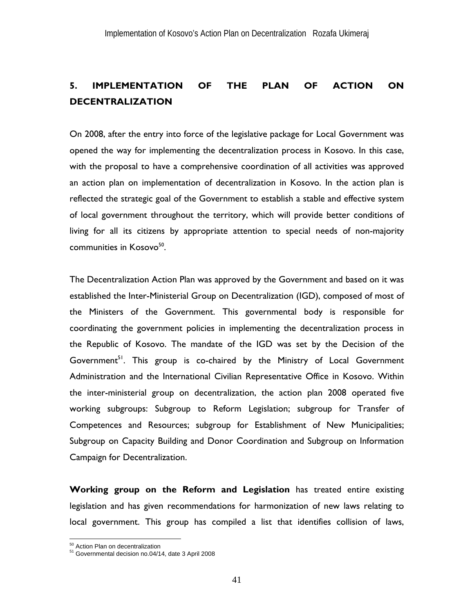# **5. IMPLEMENTATION OF THE PLAN OF ACTION ON DECENTRALIZATION**

On 2008, after the entry into force of the legislative package for Local Government was opened the way for implementing the decentralization process in Kosovo. In this case, with the proposal to have a comprehensive coordination of all activities was approved an action plan on implementation of decentralization in Kosovo. In the action plan is reflected the strategic goal of the Government to establish a stable and effective system of local government throughout the territory, which will provide better conditions of living for all its citizens by appropriate attention to special needs of non-majority communities in Kosovo<sup>50</sup>.

The Decentralization Action Plan was approved by the Government and based on it was established the Inter-Ministerial Group on Decentralization (IGD), composed of most of the Ministers of the Government. This governmental body is responsible for coordinating the government policies in implementing the decentralization process in the Republic of Kosovo. The mandate of the IGD was set by the Decision of the Government<sup>51</sup>. This group is co-chaired by the Ministry of Local Government Administration and the International Civilian Representative Office in Kosovo. Within the inter-ministerial group on decentralization, the action plan 2008 operated five working subgroups: Subgroup to Reform Legislation; subgroup for Transfer of Competences and Resources; subgroup for Establishment of New Municipalities; Subgroup on Capacity Building and Donor Coordination and Subgroup on Information Campaign for Decentralization.

**Working group on the Reform and Legislation** has treated entire existing legislation and has given recommendations for harmonization of new laws relating to local government. This group has compiled a list that identifies collision of laws,

<sup>&</sup>lt;sup>50</sup> Action Plan on decentralization

<sup>&</sup>lt;sup>51</sup> Governmental decision no.04/14, date 3 April 2008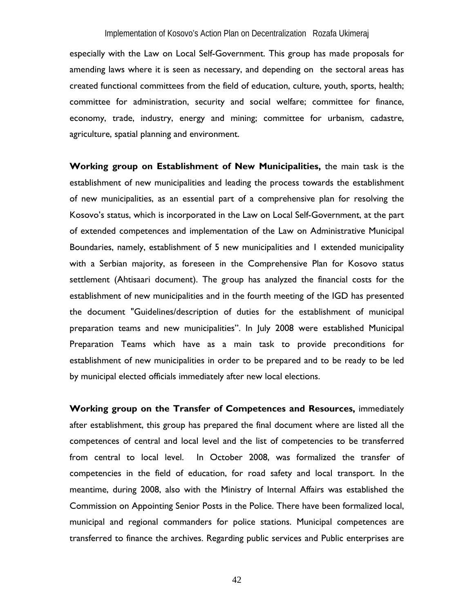especially with the Law on Local Self-Government. This group has made proposals for amending laws where it is seen as necessary, and depending on the sectoral areas has created functional committees from the field of education, culture, youth, sports, health; committee for administration, security and social welfare; committee for finance, economy, trade, industry, energy and mining; committee for urbanism, cadastre, agriculture, spatial planning and environment.

**Working group on Establishment of New Municipalities,** the main task is the establishment of new municipalities and leading the process towards the establishment of new municipalities, as an essential part of a comprehensive plan for resolving the Kosovo's status, which is incorporated in the Law on Local Self-Government, at the part of extended competences and implementation of the Law on Administrative Municipal Boundaries, namely, establishment of 5 new municipalities and 1 extended municipality with a Serbian majority, as foreseen in the Comprehensive Plan for Kosovo status settlement (Ahtisaari document). The group has analyzed the financial costs for the establishment of new municipalities and in the fourth meeting of the IGD has presented the document "Guidelines/description of duties for the establishment of municipal preparation teams and new municipalities". In July 2008 were established Municipal Preparation Teams which have as a main task to provide preconditions for establishment of new municipalities in order to be prepared and to be ready to be led by municipal elected officials immediately after new local elections.

**Working group on the Transfer of Competences and Resources,** immediately after establishment, this group has prepared the final document where are listed all the competences of central and local level and the list of competencies to be transferred from central to local level. In October 2008, was formalized the transfer of competencies in the field of education, for road safety and local transport. In the meantime, during 2008, also with the Ministry of Internal Affairs was established the Commission on Appointing Senior Posts in the Police. There have been formalized local, municipal and regional commanders for police stations. Municipal competences are transferred to finance the archives. Regarding public services and Public enterprises are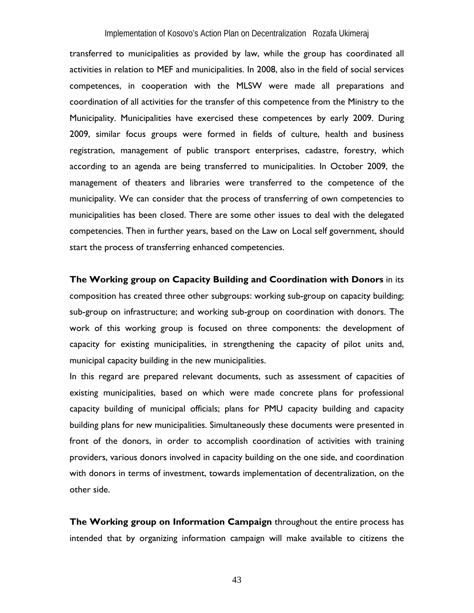transferred to municipalities as provided by law, while the group has coordinated all activities in relation to MEF and municipalities. In 2008, also in the field of social services competences, in cooperation with the MLSW were made all preparations and coordination of all activities for the transfer of this competence from the Ministry to the Municipality. Municipalities have exercised these competences by early 2009. During 2009, similar focus groups were formed in fields of culture, health and business registration, management of public transport enterprises, cadastre, forestry, which according to an agenda are being transferred to municipalities. In October 2009, the management of theaters and libraries were transferred to the competence of the municipality. We can consider that the process of transferring of own competencies to municipalities has been closed. There are some other issues to deal with the delegated competencies. Then in further years, based on the Law on Local self government, should start the process of transferring enhanced competencies.

**The Working group on Capacity Building and Coordination with Donors** in its composition has created three other subgroups: working sub-group on capacity building; sub-group on infrastructure; and working sub-group on coordination with donors. The work of this working group is focused on three components: the development of capacity for existing municipalities, in strengthening the capacity of pilot units and, municipal capacity building in the new municipalities.

In this regard are prepared relevant documents, such as assessment of capacities of existing municipalities, based on which were made concrete plans for professional capacity building of municipal officials; plans for PMU capacity building and capacity building plans for new municipalities. Simultaneously these documents were presented in front of the donors, in order to accomplish coordination of activities with training providers, various donors involved in capacity building on the one side, and coordination with donors in terms of investment, towards implementation of decentralization, on the other side.

**The Working group on Information Campaign** throughout the entire process has intended that by organizing information campaign will make available to citizens the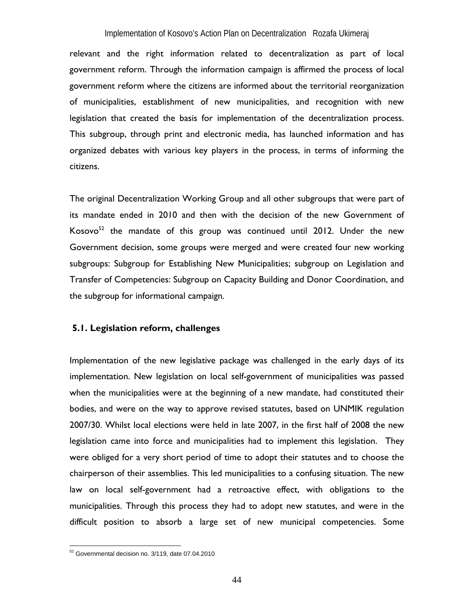relevant and the right information related to decentralization as part of local government reform. Through the information campaign is affirmed the process of local government reform where the citizens are informed about the territorial reorganization of municipalities, establishment of new municipalities, and recognition with new legislation that created the basis for implementation of the decentralization process. This subgroup, through print and electronic media, has launched information and has organized debates with various key players in the process, in terms of informing the citizens.

The original Decentralization Working Group and all other subgroups that were part of its mandate ended in 2010 and then with the decision of the new Government of Kosovo $52$  the mandate of this group was continued until 2012. Under the new Government decision, some groups were merged and were created four new working subgroups: Subgroup for Establishing New Municipalities; subgroup on Legislation and Transfer of Competencies: Subgroup on Capacity Building and Donor Coordination, and the subgroup for informational campaign.

### **5.1. Legislation reform, challenges**

Implementation of the new legislative package was challenged in the early days of its implementation. New legislation on local self-government of municipalities was passed when the municipalities were at the beginning of a new mandate, had constituted their bodies, and were on the way to approve revised statutes, based on UNMIK regulation 2007/30. Whilst local elections were held in late 2007, in the first half of 2008 the new legislation came into force and municipalities had to implement this legislation. They were obliged for a very short period of time to adopt their statutes and to choose the chairperson of their assemblies. This led municipalities to a confusing situation. The new law on local self-government had a retroactive effect, with obligations to the municipalities. Through this process they had to adopt new statutes, and were in the difficult position to absorb a large set of new municipal competencies. Some

 $52$  Governmental decision no. 3/119, date 07.04.2010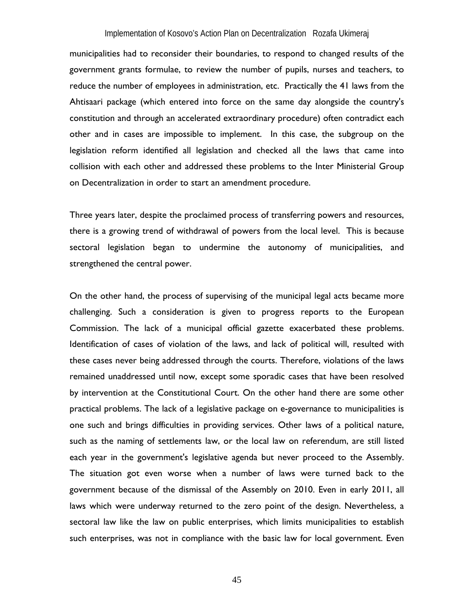municipalities had to reconsider their boundaries, to respond to changed results of the government grants formulae, to review the number of pupils, nurses and teachers, to reduce the number of employees in administration, etc. Practically the 41 laws from the Ahtisaari package (which entered into force on the same day alongside the country's constitution and through an accelerated extraordinary procedure) often contradict each other and in cases are impossible to implement. In this case, the subgroup on the legislation reform identified all legislation and checked all the laws that came into collision with each other and addressed these problems to the Inter Ministerial Group on Decentralization in order to start an amendment procedure.

Three years later, despite the proclaimed process of transferring powers and resources, there is a growing trend of withdrawal of powers from the local level. This is because sectoral legislation began to undermine the autonomy of municipalities, and strengthened the central power.

On the other hand, the process of supervising of the municipal legal acts became more challenging. Such a consideration is given to progress reports to the European Commission. The lack of a municipal official gazette exacerbated these problems. Identification of cases of violation of the laws, and lack of political will, resulted with these cases never being addressed through the courts. Therefore, violations of the laws remained unaddressed until now, except some sporadic cases that have been resolved by intervention at the Constitutional Court. On the other hand there are some other practical problems. The lack of a legislative package on e-governance to municipalities is one such and brings difficulties in providing services. Other laws of a political nature, such as the naming of settlements law, or the local law on referendum, are still listed each year in the government's legislative agenda but never proceed to the Assembly. The situation got even worse when a number of laws were turned back to the government because of the dismissal of the Assembly on 2010. Even in early 2011, all laws which were underway returned to the zero point of the design. Nevertheless, a sectoral law like the law on public enterprises, which limits municipalities to establish such enterprises, was not in compliance with the basic law for local government. Even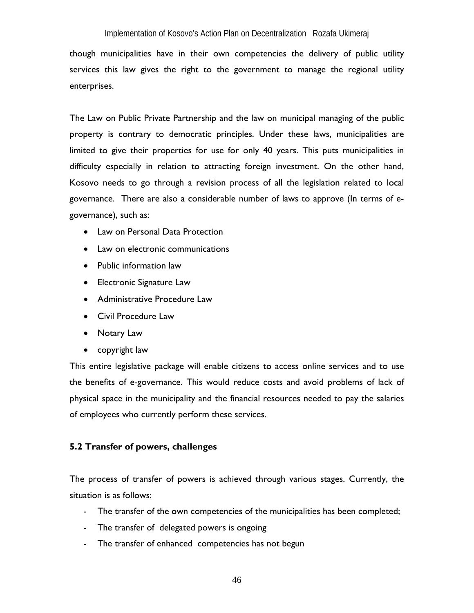though municipalities have in their own competencies the delivery of public utility services this law gives the right to the government to manage the regional utility enterprises.

The Law on Public Private Partnership and the law on municipal managing of the public property is contrary to democratic principles. Under these laws, municipalities are limited to give their properties for use for only 40 years. This puts municipalities in difficulty especially in relation to attracting foreign investment. On the other hand, Kosovo needs to go through a revision process of all the legislation related to local governance. There are also a considerable number of laws to approve (In terms of egovernance), such as:

- Law on Personal Data Protection
- Law on electronic communications
- Public information law
- Electronic Signature Law
- Administrative Procedure Law
- Civil Procedure Law
- Notary Law
- copyright law

This entire legislative package will enable citizens to access online services and to use the benefits of e-governance. This would reduce costs and avoid problems of lack of physical space in the municipality and the financial resources needed to pay the salaries of employees who currently perform these services.

# **5.2 Transfer of powers, challenges**

The process of transfer of powers is achieved through various stages. Currently, the situation is as follows:

- The transfer of the own competencies of the municipalities has been completed;
- The transfer of delegated powers is ongoing
- The transfer of enhanced competencies has not begun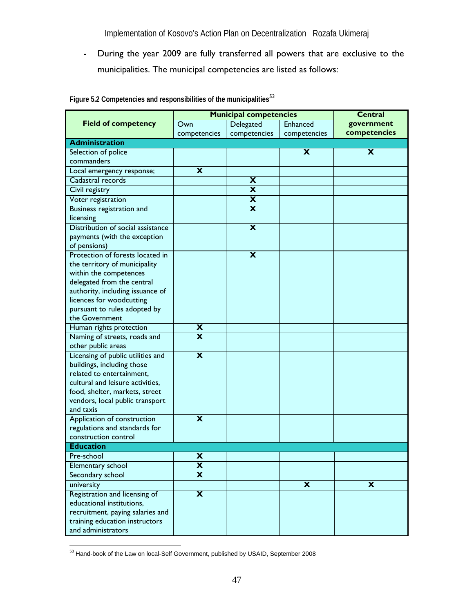- During the year 2009 are fully transferred all powers that are exclusive to the municipalities. The municipal competencies are listed as follows:

|                                   | <b>Municipal competencies</b> |                           |                         | Central                   |
|-----------------------------------|-------------------------------|---------------------------|-------------------------|---------------------------|
| <b>Field of competency</b>        | Own                           | Delegated                 | Enhanced                | government                |
|                                   | competencies                  | competencies              | competencies            | competencies              |
| <b>Administration</b>             |                               |                           |                         |                           |
| Selection of police               |                               |                           | X                       | X                         |
| commanders                        |                               |                           |                         |                           |
| Local emergency response;         | X                             |                           |                         |                           |
| Cadastral records                 |                               | X                         |                         |                           |
| Civil registry                    |                               | X                         |                         |                           |
| Voter registration                |                               | X                         |                         |                           |
| Business registration and         |                               | X                         |                         |                           |
| licensing                         |                               |                           |                         |                           |
| Distribution of social assistance |                               | $\boldsymbol{\mathsf{x}}$ |                         |                           |
| payments (with the exception      |                               |                           |                         |                           |
| of pensions)                      |                               |                           |                         |                           |
| Protection of forests located in  |                               | $\boldsymbol{\mathsf{x}}$ |                         |                           |
| the territory of municipality     |                               |                           |                         |                           |
| within the competences            |                               |                           |                         |                           |
| delegated from the central        |                               |                           |                         |                           |
| authority, including issuance of  |                               |                           |                         |                           |
| licences for woodcutting          |                               |                           |                         |                           |
| pursuant to rules adopted by      |                               |                           |                         |                           |
| the Government                    |                               |                           |                         |                           |
| Human rights protection           | X                             |                           |                         |                           |
| Naming of streets, roads and      | $\overline{\mathbf{x}}$       |                           |                         |                           |
| other public areas                |                               |                           |                         |                           |
| Licensing of public utilities and | $\overline{\mathbf{x}}$       |                           |                         |                           |
| buildings, including those        |                               |                           |                         |                           |
| related to entertainment,         |                               |                           |                         |                           |
| cultural and leisure activities,  |                               |                           |                         |                           |
| food, shelter, markets, street    |                               |                           |                         |                           |
| vendors, local public transport   |                               |                           |                         |                           |
| and taxis                         |                               |                           |                         |                           |
| Application of construction       | $\overline{\mathbf{x}}$       |                           |                         |                           |
| regulations and standards for     |                               |                           |                         |                           |
| construction control              |                               |                           |                         |                           |
| <b>Education</b>                  |                               |                           |                         |                           |
| Pre-school                        | X                             |                           |                         |                           |
| Elementary school                 | X                             |                           |                         |                           |
| Secondary school                  | X                             |                           |                         |                           |
| university                        |                               |                           | $\overline{\mathbf{x}}$ | $\boldsymbol{\mathsf{x}}$ |
| Registration and licensing of     | $\overline{\mathbf{x}}$       |                           |                         |                           |
| educational institutions,         |                               |                           |                         |                           |
| recruitment, paying salaries and  |                               |                           |                         |                           |
| training education instructors    |                               |                           |                         |                           |
| and administrators                |                               |                           |                         |                           |

**Figure 5.2 Competencies and responsibilities of the municipalities**<sup>53</sup>

 $\overline{a}$  $53$  Hand-book of the Law on local-Self Government, published by USAID, September 2008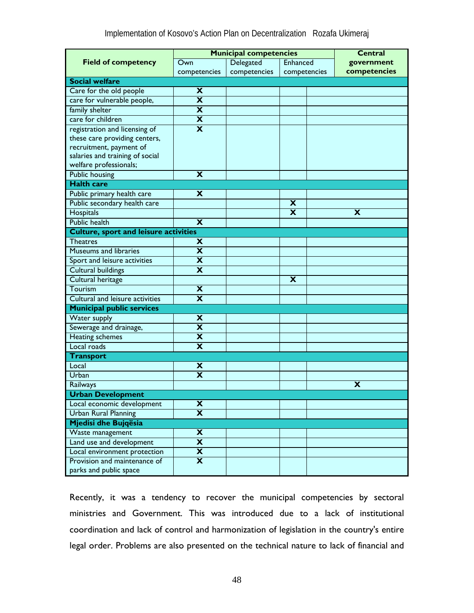| <b>Municipal competencies</b>                |                         |              |              | <b>Central</b> |
|----------------------------------------------|-------------------------|--------------|--------------|----------------|
| <b>Field of competency</b>                   | Own                     | Delegated    | Enhanced     | government     |
|                                              | competencies            | competencies | competencies | competencies   |
| <b>Social welfare</b>                        |                         |              |              |                |
| Care for the old people                      | X                       |              |              |                |
| care for vulnerable people,                  | $\overline{\mathbf{x}}$ |              |              |                |
| family shelter                               | $\overline{\mathbf{x}}$ |              |              |                |
| care for children                            | $\overline{\textbf{x}}$ |              |              |                |
| registration and licensing of                | X                       |              |              |                |
| these care providing centers,                |                         |              |              |                |
| recruitment, payment of                      |                         |              |              |                |
| salaries and training of social              |                         |              |              |                |
| welfare professionals;                       |                         |              |              |                |
| <b>Public housing</b>                        | $\overline{\textbf{x}}$ |              |              |                |
| <b>Halth care</b>                            |                         |              |              |                |
| Public primary health care                   | X                       |              |              |                |
| Public secondary health care                 |                         |              | X            |                |
| Hospitals                                    |                         |              | х            | х              |
| Public health                                | X                       |              |              |                |
| <b>Culture, sport and leisure activities</b> |                         |              |              |                |
| <b>Theatres</b>                              | X                       |              |              |                |
| <b>Museums and libraries</b>                 | X                       |              |              |                |
| Sport and leisure activities                 | $\overline{\textbf{x}}$ |              |              |                |
| Cultural buildings                           | $\overline{\textbf{x}}$ |              |              |                |
| Cultural heritage                            |                         |              | X            |                |
| Tourism                                      | X                       |              |              |                |
| Cultural and leisure activities              | X                       |              |              |                |
| <b>Municipal public services</b>             |                         |              |              |                |
| Water supply                                 | X                       |              |              |                |
| Sewerage and drainage,                       | X                       |              |              |                |
| Heating schemes                              | X                       |              |              |                |
| Local roads                                  | X                       |              |              |                |
| <b>Transport</b>                             |                         |              |              |                |
| Local                                        | X                       |              |              |                |
| Urban                                        | $\overline{\textbf{x}}$ |              |              |                |
| Railways                                     |                         |              |              | X              |
| Urban Development                            |                         |              |              |                |
| Local economic development                   | $\overline{\mathbf{x}}$ |              |              |                |
| <b>Urban Rural Planning</b>                  | $\overline{\textbf{x}}$ |              |              |                |
| Mjedisi dhe Bujqësia                         |                         |              |              |                |
| Waste management                             | X                       |              |              |                |
| Land use and development                     | $\overline{\mathbf{x}}$ |              |              |                |
| Local environment protection                 | X                       |              |              |                |
| Provision and maintenance of                 | X                       |              |              |                |
| parks and public space                       |                         |              |              |                |

Recently, it was a tendency to recover the municipal competencies by sectoral ministries and Government. This was introduced due to a lack of institutional coordination and lack of control and harmonization of legislation in the country's entire legal order. Problems are also presented on the technical nature to lack of financial and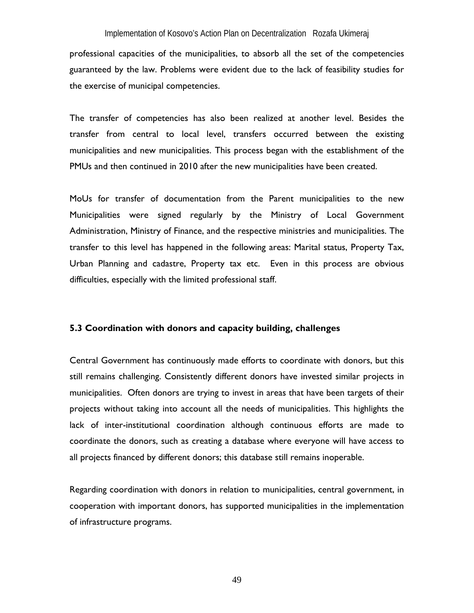professional capacities of the municipalities, to absorb all the set of the competencies guaranteed by the law. Problems were evident due to the lack of feasibility studies for the exercise of municipal competencies.

The transfer of competencies has also been realized at another level. Besides the transfer from central to local level, transfers occurred between the existing municipalities and new municipalities. This process began with the establishment of the PMUs and then continued in 2010 after the new municipalities have been created.

MoUs for transfer of documentation from the Parent municipalities to the new Municipalities were signed regularly by the Ministry of Local Government Administration, Ministry of Finance, and the respective ministries and municipalities. The transfer to this level has happened in the following areas: Marital status, Property Tax, Urban Planning and cadastre, Property tax etc. Even in this process are obvious difficulties, especially with the limited professional staff.

### **5.3 Coordination with donors and capacity building, challenges**

Central Government has continuously made efforts to coordinate with donors, but this still remains challenging. Consistently different donors have invested similar projects in municipalities. Often donors are trying to invest in areas that have been targets of their projects without taking into account all the needs of municipalities. This highlights the lack of inter-institutional coordination although continuous efforts are made to coordinate the donors, such as creating a database where everyone will have access to all projects financed by different donors; this database still remains inoperable.

Regarding coordination with donors in relation to municipalities, central government, in cooperation with important donors, has supported municipalities in the implementation of infrastructure programs.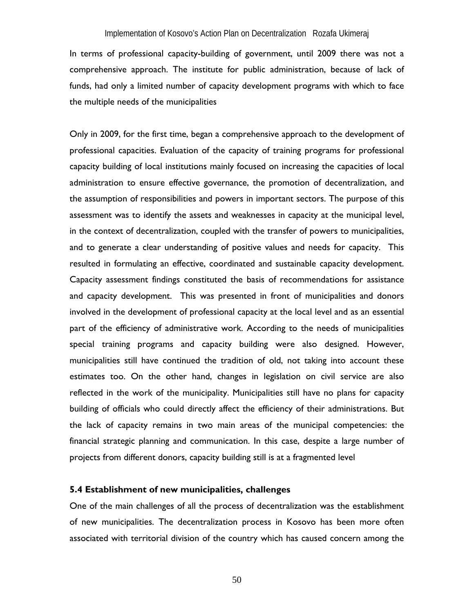In terms of professional capacity-building of government, until 2009 there was not a comprehensive approach. The institute for public administration, because of lack of funds, had only a limited number of capacity development programs with which to face the multiple needs of the municipalities

Only in 2009, for the first time, began a comprehensive approach to the development of professional capacities. Evaluation of the capacity of training programs for professional capacity building of local institutions mainly focused on increasing the capacities of local administration to ensure effective governance, the promotion of decentralization, and the assumption of responsibilities and powers in important sectors. The purpose of this assessment was to identify the assets and weaknesses in capacity at the municipal level, in the context of decentralization, coupled with the transfer of powers to municipalities, and to generate a clear understanding of positive values and needs for capacity. This resulted in formulating an effective, coordinated and sustainable capacity development. Capacity assessment findings constituted the basis of recommendations for assistance and capacity development. This was presented in front of municipalities and donors involved in the development of professional capacity at the local level and as an essential part of the efficiency of administrative work. According to the needs of municipalities special training programs and capacity building were also designed. However, municipalities still have continued the tradition of old, not taking into account these estimates too. On the other hand, changes in legislation on civil service are also reflected in the work of the municipality. Municipalities still have no plans for capacity building of officials who could directly affect the efficiency of their administrations. But the lack of capacity remains in two main areas of the municipal competencies: the financial strategic planning and communication. In this case, despite a large number of projects from different donors, capacity building still is at a fragmented level

### **5.4 Establishment of new municipalities, challenges**

One of the main challenges of all the process of decentralization was the establishment of new municipalities. The decentralization process in Kosovo has been more often associated with territorial division of the country which has caused concern among the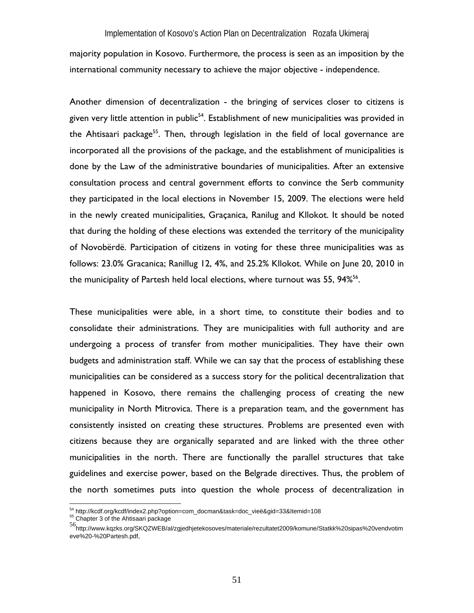majority population in Kosovo. Furthermore, the process is seen as an imposition by the international community necessary to achieve the major objective - independence.

Another dimension of decentralization - the bringing of services closer to citizens is given very little attention in public<sup>54</sup>. Establishment of new municipalities was provided in the Ahtisaari package<sup>55</sup>. Then, through legislation in the field of local governance are incorporated all the provisions of the package, and the establishment of municipalities is done by the Law of the administrative boundaries of municipalities. After an extensive consultation process and central government efforts to convince the Serb community they participated in the local elections in November 15, 2009. The elections were held in the newly created municipalities, Graçanica, Ranilug and Kllokot. It should be noted that during the holding of these elections was extended the territory of the municipality of Novobërdë. Participation of citizens in voting for these three municipalities was as follows: 23.0% Gracanica; Ranillug 12, 4%, and 25.2% Kllokot. While on June 20, 2010 in the municipality of Partesh held local elections, where turnout was 55,  $94\%$ <sup>56</sup>.

These municipalities were able, in a short time, to constitute their bodies and to consolidate their administrations. They are municipalities with full authority and are undergoing a process of transfer from mother municipalities. They have their own budgets and administration staff. While we can say that the process of establishing these municipalities can be considered as a success story for the political decentralization that happened in Kosovo, there remains the challenging process of creating the new municipality in North Mitrovica. There is a preparation team, and the government has consistently insisted on creating these structures. Problems are presented even with citizens because they are organically separated and are linked with the three other municipalities in the north. There are functionally the parallel structures that take guidelines and exercise power, based on the Belgrade directives. Thus, the problem of the north sometimes puts into question the whole process of decentralization in

 $\overline{a}$ 

<sup>&</sup>lt;sup>54</sup> http://kcdf.org/kcdf/index2.php?option=com\_docman&task=doc\_vieë&gid=33&Itemid=108 <br><sup>55</sup> Chapter 3 of the Ahtisaari package

<sup>56</sup>http://www.kqzks.org/SKQZWEB/al/zgjedhjetekosoves/materiale/rezultatet2009/komune/Statkk%20sipas%20vendvotim eve%20-%20Partesh.pdf,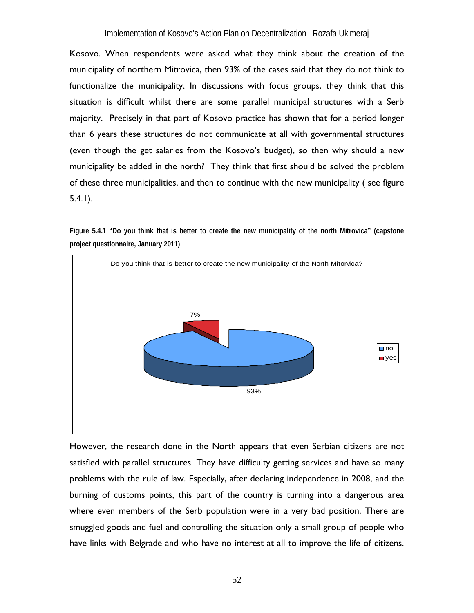Kosovo. When respondents were asked what they think about the creation of the municipality of northern Mitrovica, then 93% of the cases said that they do not think to functionalize the municipality. In discussions with focus groups, they think that this situation is difficult whilst there are some parallel municipal structures with a Serb majority. Precisely in that part of Kosovo practice has shown that for a period longer than 6 years these structures do not communicate at all with governmental structures (even though the get salaries from the Kosovo's budget), so then why should a new municipality be added in the north? They think that first should be solved the problem of these three municipalities, and then to continue with the new municipality ( see figure 5.4.1).

**Figure 5.4.1 "Do you think that is better to create the new municipality of the north Mitrovica" (capstone project questionnaire, January 2011)** 



However, the research done in the North appears that even Serbian citizens are not satisfied with parallel structures. They have difficulty getting services and have so many problems with the rule of law. Especially, after declaring independence in 2008, and the burning of customs points, this part of the country is turning into a dangerous area where even members of the Serb population were in a very bad position. There are smuggled goods and fuel and controlling the situation only a small group of people who have links with Belgrade and who have no interest at all to improve the life of citizens.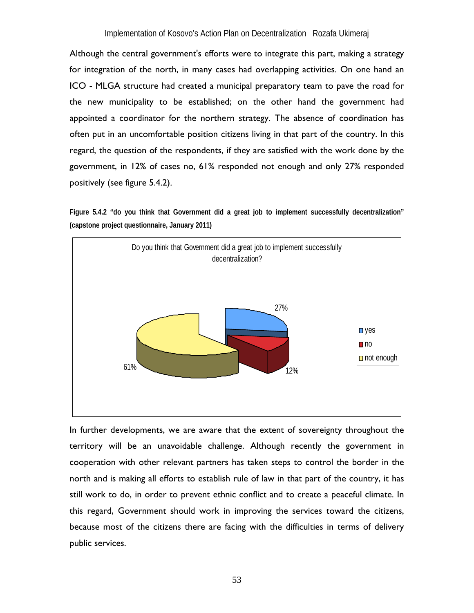Although the central government's efforts were to integrate this part, making a strategy for integration of the north, in many cases had overlapping activities. On one hand an ICO - MLGA structure had created a municipal preparatory team to pave the road for the new municipality to be established; on the other hand the government had appointed a coordinator for the northern strategy. The absence of coordination has often put in an uncomfortable position citizens living in that part of the country. In this regard, the question of the respondents, if they are satisfied with the work done by the government, in 12% of cases no, 61% responded not enough and only 27% responded positively (see figure 5.4.2).

**Figure 5.4.2 "do you think that Government did a great job to implement successfully decentralization" (capstone project questionnaire, January 2011)** 



In further developments, we are aware that the extent of sovereignty throughout the territory will be an unavoidable challenge. Although recently the government in cooperation with other relevant partners has taken steps to control the border in the north and is making all efforts to establish rule of law in that part of the country, it has still work to do, in order to prevent ethnic conflict and to create a peaceful climate. In this regard, Government should work in improving the services toward the citizens, because most of the citizens there are facing with the difficulties in terms of delivery public services.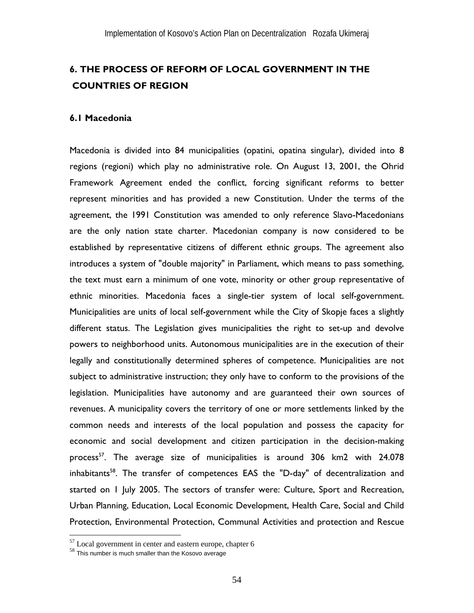# **6. THE PROCESS OF REFORM OF LOCAL GOVERNMENT IN THE COUNTRIES OF REGION**

#### **6.1 Macedonia**

Macedonia is divided into 84 municipalities (opatini, opatina singular), divided into 8 regions (regioni) which play no administrative role. On August 13, 2001, the Ohrid Framework Agreement ended the conflict, forcing significant reforms to better represent minorities and has provided a new Constitution. Under the terms of the agreement, the 1991 Constitution was amended to only reference Slavo-Macedonians are the only nation state charter. Macedonian company is now considered to be established by representative citizens of different ethnic groups. The agreement also introduces a system of "double majority" in Parliament, which means to pass something, the text must earn a minimum of one vote, minority or other group representative of ethnic minorities. Macedonia faces a single-tier system of local self-government. Municipalities are units of local self-government while the City of Skopje faces a slightly different status. The Legislation gives municipalities the right to set-up and devolve powers to neighborhood units. Autonomous municipalities are in the execution of their legally and constitutionally determined spheres of competence. Municipalities are not subject to administrative instruction; they only have to conform to the provisions of the legislation. Municipalities have autonomy and are guaranteed their own sources of revenues. A municipality covers the territory of one or more settlements linked by the common needs and interests of the local population and possess the capacity for economic and social development and citizen participation in the decision-making process<sup>57</sup>. The average size of municipalities is around 306 km2 with 24.078 inhabitants<sup>58</sup>. The transfer of competences EAS the "D-day" of decentralization and started on 1 July 2005. The sectors of transfer were: Culture, Sport and Recreation, Urban Planning, Education, Local Economic Development, Health Care, Social and Child Protection, Environmental Protection, Communal Activities and protection and Rescue

 $\overline{a}$ 

 $57$  Local government in center and eastern europe, chapter 6

<sup>58</sup> This number is much smaller than the Kosovo average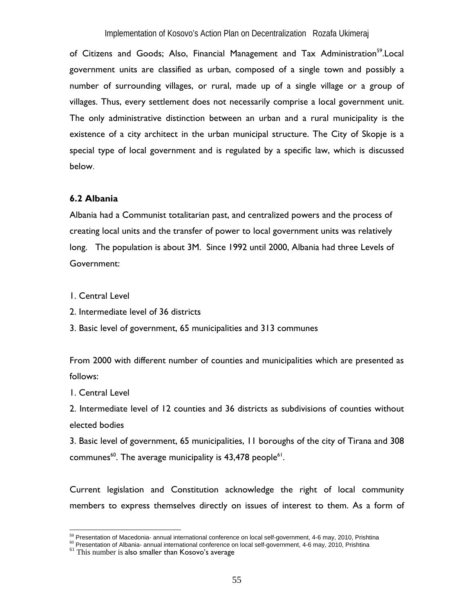of Citizens and Goods; Also, Financial Management and Tax Administration<sup>59</sup>.Local government units are classified as urban, composed of a single town and possibly a number of surrounding villages, or rural, made up of a single village or a group of villages. Thus, every settlement does not necessarily comprise a local government unit. The only administrative distinction between an urban and a rural municipality is the existence of a city architect in the urban municipal structure. The City of Skopje is a special type of local government and is regulated by a specific law, which is discussed below.

#### **6.2 Albania**

Albania had a Communist totalitarian past, and centralized powers and the process of creating local units and the transfer of power to local government units was relatively long. The population is about 3M. Since 1992 until 2000, Albania had three Levels of Government:

1. Central Level

2. Intermediate level of 36 districts

3. Basic level of government, 65 municipalities and 313 communes

From 2000 with different number of counties and municipalities which are presented as follows:

1. Central Level

2. Intermediate level of 12 counties and 36 districts as subdivisions of counties without elected bodies

3. Basic level of government, 65 municipalities, 11 boroughs of the city of Tirana and 308 communes<sup>60</sup>. The average municipality is  $43,478$  people<sup>61</sup>.

Current legislation and Constitution acknowledge the right of local community members to express themselves directly on issues of interest to them. As a form of

<sup>&</sup>lt;sup>59</sup> Presentation of Macedonia- annual international conference on local self-government, 4-6 may, 2010, Prishtina

<sup>&</sup>lt;sup>60</sup> Presentation of Albania- annual international conference on local self-government, 4-6 may, 2010, Prishtina<br><sup>61</sup> This number is also smaller than Kosovo's average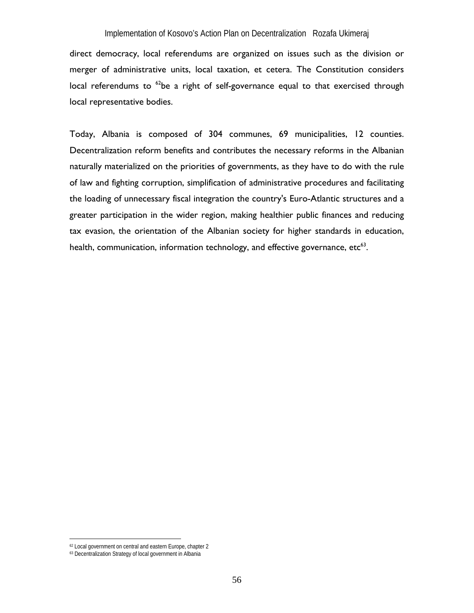direct democracy, local referendums are organized on issues such as the division or merger of administrative units, local taxation, et cetera. The Constitution considers local referendums to <sup>62</sup>be a right of self-governance equal to that exercised through local representative bodies.

Today, Albania is composed of 304 communes, 69 municipalities, 12 counties. Decentralization reform benefits and contributes the necessary reforms in the Albanian naturally materialized on the priorities of governments, as they have to do with the rule of law and fighting corruption, simplification of administrative procedures and facilitating the loading of unnecessary fiscal integration the country's Euro-Atlantic structures and a greater participation in the wider region, making healthier public finances and reducing tax evasion, the orientation of the Albanian society for higher standards in education, health, communication, information technology, and effective governance,  $etc<sup>63</sup>$ .

 $\overline{a}$ 

<sup>62</sup> Local government on central and eastern Europe, chapter 2

<sup>63</sup> Decentralization Strategy of local government in Albania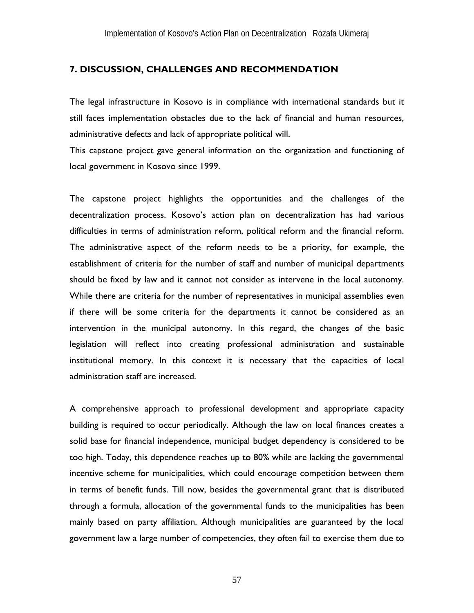### **7. DISCUSSION, CHALLENGES AND RECOMMENDATION**

The legal infrastructure in Kosovo is in compliance with international standards but it still faces implementation obstacles due to the lack of financial and human resources, administrative defects and lack of appropriate political will.

This capstone project gave general information on the organization and functioning of local government in Kosovo since 1999.

The capstone project highlights the opportunities and the challenges of the decentralization process. Kosovo's action plan on decentralization has had various difficulties in terms of administration reform, political reform and the financial reform. The administrative aspect of the reform needs to be a priority, for example, the establishment of criteria for the number of staff and number of municipal departments should be fixed by law and it cannot not consider as intervene in the local autonomy. While there are criteria for the number of representatives in municipal assemblies even if there will be some criteria for the departments it cannot be considered as an intervention in the municipal autonomy. In this regard, the changes of the basic legislation will reflect into creating professional administration and sustainable institutional memory. In this context it is necessary that the capacities of local administration staff are increased.

A comprehensive approach to professional development and appropriate capacity building is required to occur periodically. Although the law on local finances creates a solid base for financial independence, municipal budget dependency is considered to be too high. Today, this dependence reaches up to 80% while are lacking the governmental incentive scheme for municipalities, which could encourage competition between them in terms of benefit funds. Till now, besides the governmental grant that is distributed through a formula, allocation of the governmental funds to the municipalities has been mainly based on party affiliation. Although municipalities are guaranteed by the local government law a large number of competencies, they often fail to exercise them due to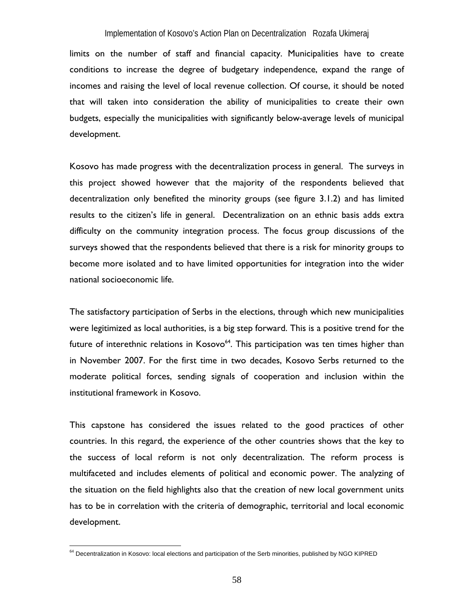limits on the number of staff and financial capacity. Municipalities have to create conditions to increase the degree of budgetary independence, expand the range of incomes and raising the level of local revenue collection. Of course, it should be noted that will taken into consideration the ability of municipalities to create their own budgets, especially the municipalities with significantly below-average levels of municipal development.

Kosovo has made progress with the decentralization process in general. The surveys in this project showed however that the majority of the respondents believed that decentralization only benefited the minority groups (see figure 3.1.2) and has limited results to the citizen's life in general. Decentralization on an ethnic basis adds extra difficulty on the community integration process. The focus group discussions of the surveys showed that the respondents believed that there is a risk for minority groups to become more isolated and to have limited opportunities for integration into the wider national socioeconomic life.

The satisfactory participation of Serbs in the elections, through which new municipalities were legitimized as local authorities, is a big step forward. This is a positive trend for the future of interethnic relations in Kosovo<sup>64</sup>. This participation was ten times higher than in November 2007. For the first time in two decades, Kosovo Serbs returned to the moderate political forces, sending signals of cooperation and inclusion within the institutional framework in Kosovo.

This capstone has considered the issues related to the good practices of other countries. In this regard, the experience of the other countries shows that the key to the success of local reform is not only decentralization. The reform process is multifaceted and includes elements of political and economic power. The analyzing of the situation on the field highlights also that the creation of new local government units has to be in correlation with the criteria of demographic, territorial and local economic development.

 $\overline{a}$ 

<sup>&</sup>lt;sup>64</sup> Decentralization in Kosovo: local elections and participation of the Serb minorities, published by NGO KIPRED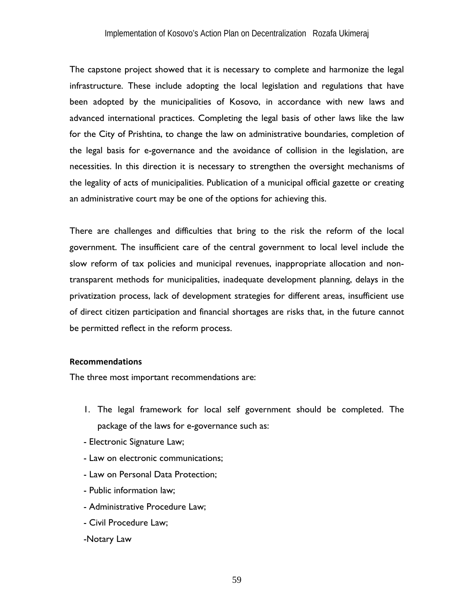The capstone project showed that it is necessary to complete and harmonize the legal infrastructure. These include adopting the local legislation and regulations that have been adopted by the municipalities of Kosovo, in accordance with new laws and advanced international practices. Completing the legal basis of other laws like the law for the City of Prishtina, to change the law on administrative boundaries, completion of the legal basis for e-governance and the avoidance of collision in the legislation, are necessities. In this direction it is necessary to strengthen the oversight mechanisms of the legality of acts of municipalities. Publication of a municipal official gazette or creating an administrative court may be one of the options for achieving this.

There are challenges and difficulties that bring to the risk the reform of the local government. The insufficient care of the central government to local level include the slow reform of tax policies and municipal revenues, inappropriate allocation and nontransparent methods for municipalities, inadequate development planning, delays in the privatization process, lack of development strategies for different areas, insufficient use of direct citizen participation and financial shortages are risks that, in the future cannot be permitted reflect in the reform process.

### **Recommendations**

The three most important recommendations are:

- 1. The legal framework for local self government should be completed. The package of the laws for e-governance such as:
- Electronic Signature Law;
- Law on electronic communications;
- Law on Personal Data Protection;
- Public information law;
- Administrative Procedure Law;
- Civil Procedure Law;

#### -Notary Law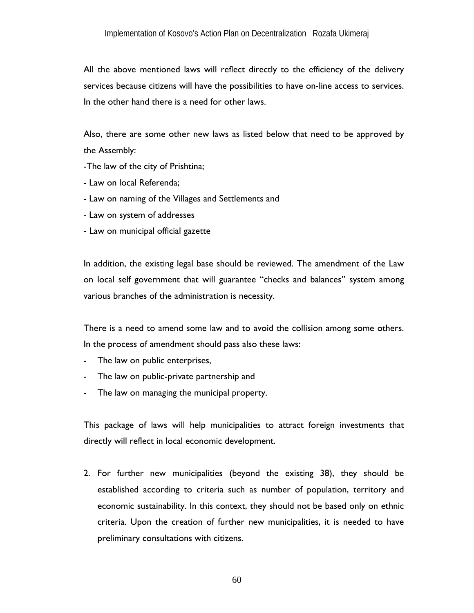All the above mentioned laws will reflect directly to the efficiency of the delivery services because citizens will have the possibilities to have on-line access to services. In the other hand there is a need for other laws.

Also, there are some other new laws as listed below that need to be approved by the Assembly:

- -The law of the city of Prishtina;
- Law on local Referenda;
- Law on naming of the Villages and Settlements and
- Law on system of addresses
- Law on municipal official gazette

In addition, the existing legal base should be reviewed. The amendment of the Law on local self government that will guarantee "checks and balances" system among various branches of the administration is necessity.

There is a need to amend some law and to avoid the collision among some others. In the process of amendment should pass also these laws:

- The law on public enterprises,
- The law on public-private partnership and
- The law on managing the municipal property.

This package of laws will help municipalities to attract foreign investments that directly will reflect in local economic development.

2. For further new municipalities (beyond the existing 38), they should be established according to criteria such as number of population, territory and economic sustainability. In this context, they should not be based only on ethnic criteria. Upon the creation of further new municipalities, it is needed to have preliminary consultations with citizens.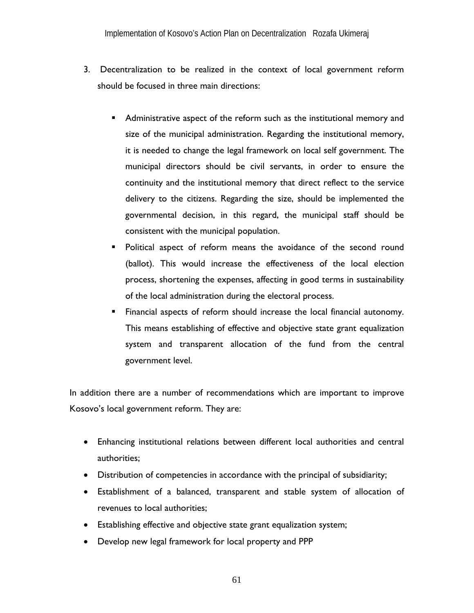- 3. Decentralization to be realized in the context of local government reform should be focused in three main directions:
	- Administrative aspect of the reform such as the institutional memory and size of the municipal administration. Regarding the institutional memory, it is needed to change the legal framework on local self government. The municipal directors should be civil servants, in order to ensure the continuity and the institutional memory that direct reflect to the service delivery to the citizens. Regarding the size, should be implemented the governmental decision, in this regard, the municipal staff should be consistent with the municipal population.
	- Political aspect of reform means the avoidance of the second round (ballot). This would increase the effectiveness of the local election process, shortening the expenses, affecting in good terms in sustainability of the local administration during the electoral process.
	- Financial aspects of reform should increase the local financial autonomy. This means establishing of effective and objective state grant equalization system and transparent allocation of the fund from the central government level.

In addition there are a number of recommendations which are important to improve Kosovo's local government reform. They are:

- Enhancing institutional relations between different local authorities and central authorities;
- Distribution of competencies in accordance with the principal of subsidiarity;
- Establishment of a balanced, transparent and stable system of allocation of revenues to local authorities;
- Establishing effective and objective state grant equalization system;
- Develop new legal framework for local property and PPP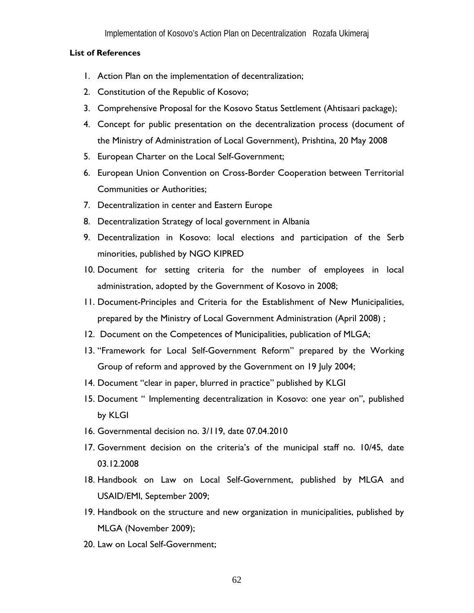### **List of References**

- 1. Action Plan on the implementation of decentralization;
- 2. Constitution of the Republic of Kosovo;
- 3. Comprehensive Proposal for the Kosovo Status Settlement (Ahtisaari package);
- 4. Concept for public presentation on the decentralization process (document of the Ministry of Administration of Local Government), Prishtina, 20 May 2008
- 5. European Charter on the Local Self-Government;
- 6. European Union Convention on Cross-Border Cooperation between Territorial Communities or Authorities;
- 7. Decentralization in center and Eastern Europe
- 8. Decentralization Strategy of local government in Albania
- 9. Decentralization in Kosovo: local elections and participation of the Serb minorities, published by NGO KIPRED
- 10. Document for setting criteria for the number of employees in local administration, adopted by the Government of Kosovo in 2008;
- 11. Document-Principles and Criteria for the Establishment of New Municipalities, prepared by the Ministry of Local Government Administration (April 2008) ;
- 12. Document on the Competences of Municipalities, publication of MLGA;
- 13. "Framework for Local Self-Government Reform" prepared by the Working Group of reform and approved by the Government on 19 July 2004;
- 14. Document "clear in paper, blurred in practice" published by KLGI
- 15. Document " Implementing decentralization in Kosovo: one year on", published by KLGI
- 16. Governmental decision no. 3/119, date 07.04.2010
- 17. Government decision on the criteria's of the municipal staff no. 10/45, date 03.12.2008
- 18. Handbook on Law on Local Self-Government, published by MLGA and USAID/EMI, September 2009;
- 19. Handbook on the structure and new organization in municipalities, published by MLGA (November 2009);
- 20. Law on Local Self-Government;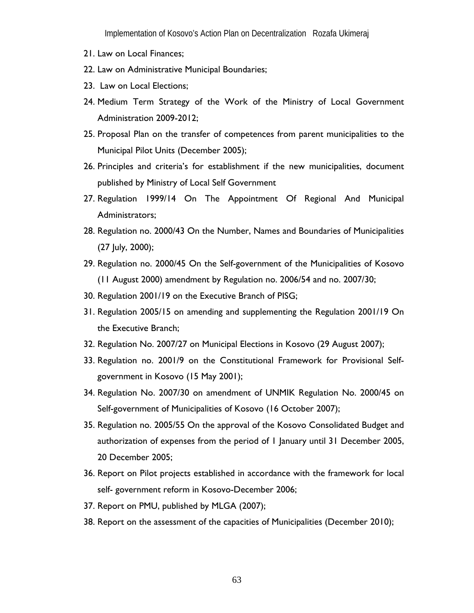- 21. Law on Local Finances;
- 22. Law on Administrative Municipal Boundaries;
- 23. Law on Local Elections;
- 24. Medium Term Strategy of the Work of the Ministry of Local Government Administration 2009-2012;
- 25. Proposal Plan on the transfer of competences from parent municipalities to the Municipal Pilot Units (December 2005);
- 26. Principles and criteria's for establishment if the new municipalities, document published by Ministry of Local Self Government
- 27. Regulation 1999/14 On The Appointment Of Regional And Municipal Administrators;
- 28. Regulation no. 2000/43 On the Number, Names and Boundaries of Municipalities (27 July, 2000);
- 29. Regulation no. 2000/45 On the Self-government of the Municipalities of Kosovo (11 August 2000) amendment by Regulation no. 2006/54 and no. 2007/30;
- 30. Regulation 2001/19 on the Executive Branch of PISG;
- 31. Regulation 2005/15 on amending and supplementing the Regulation 2001/19 On the Executive Branch;
- 32. Regulation No. 2007/27 on Municipal Elections in Kosovo (29 August 2007);
- 33. Regulation no. 2001/9 on the Constitutional Framework for Provisional Selfgovernment in Kosovo (15 May 2001);
- 34. Regulation No. 2007/30 on amendment of UNMIK Regulation No. 2000/45 on Self-government of Municipalities of Kosovo (16 October 2007);
- 35. Regulation no. 2005/55 On the approval of the Kosovo Consolidated Budget and authorization of expenses from the period of 1 January until 31 December 2005, 20 December 2005;
- 36. Report on Pilot projects established in accordance with the framework for local self- government reform in Kosovo-December 2006;
- 37. Report on PMU, published by MLGA (2007);
- 38. Report on the assessment of the capacities of Municipalities (December 2010);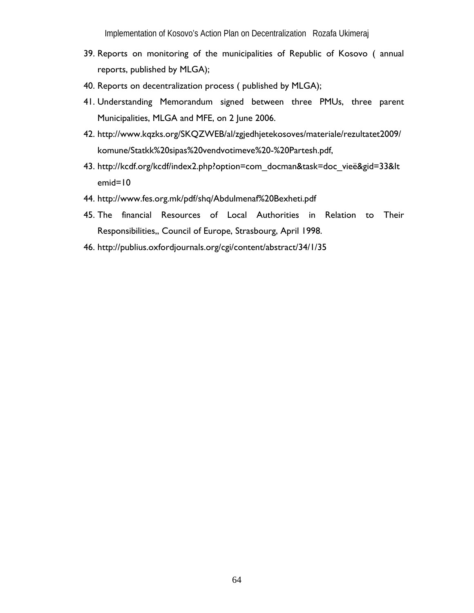- 39. Reports on monitoring of the municipalities of Republic of Kosovo ( annual reports, published by MLGA);
- 40. Reports on decentralization process ( published by MLGA);
- 41. Understanding Memorandum signed between three PMUs, three parent Municipalities, MLGA and MFE, on 2 June 2006.
- 42. http://www.kqzks.org/SKQZWEB/al/zgjedhjetekosoves/materiale/rezultatet2009/ komune/Statkk%20sipas%20vendvotimeve%20-%20Partesh.pdf,
- 43. http://kcdf.org/kcdf/index2.php?option=com\_docman&task=doc\_vieë&gid=33&It emid=10
- 44. http://www.fes.org.mk/pdf/shq/Abdulmenaf%20Bexheti.pdf
- 45. The financial Resources of Local Authorities in Relation to Their Responsibilities,, Council of Europe, Strasbourg, April 1998.
- 46. http://publius.oxfordjournals.org/cgi/content/abstract/34/1/35